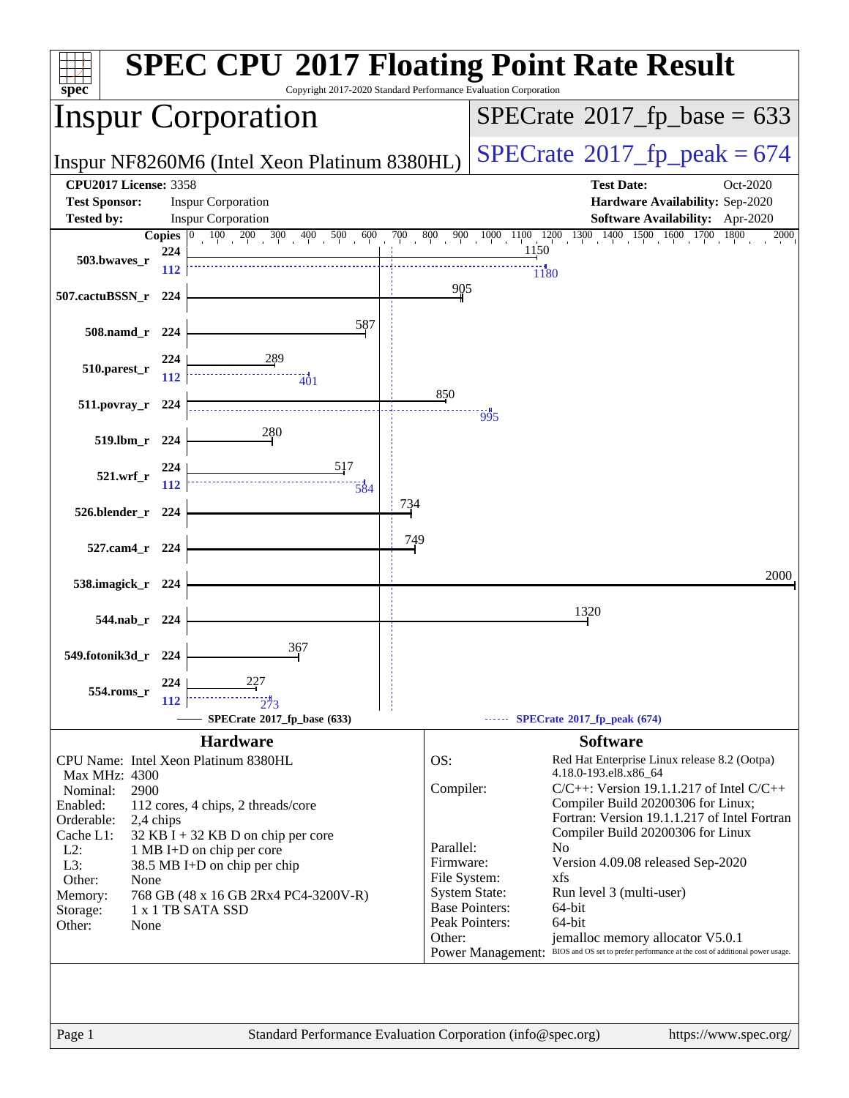| spec <sup>®</sup>                                                                                                                                    |              | Copyright 2017-2020 Standard Performance Evaluation Corporation                                                                                                                                                                              |                                                                      | <b>SPEC CPU®2017 Floating Point Rate Result</b>                                                                                                                                                                                                                                                                                                                                                                                                                                                                                                                                    |
|------------------------------------------------------------------------------------------------------------------------------------------------------|--------------|----------------------------------------------------------------------------------------------------------------------------------------------------------------------------------------------------------------------------------------------|----------------------------------------------------------------------|------------------------------------------------------------------------------------------------------------------------------------------------------------------------------------------------------------------------------------------------------------------------------------------------------------------------------------------------------------------------------------------------------------------------------------------------------------------------------------------------------------------------------------------------------------------------------------|
|                                                                                                                                                      |              | <b>Inspur Corporation</b>                                                                                                                                                                                                                    |                                                                      | $SPECrate^{\circ}2017$ _fp_base = 633                                                                                                                                                                                                                                                                                                                                                                                                                                                                                                                                              |
|                                                                                                                                                      |              | Inspur NF8260M6 (Intel Xeon Platinum 8380HL)                                                                                                                                                                                                 |                                                                      | $SPECTate@2017_fp\_peak = 674$                                                                                                                                                                                                                                                                                                                                                                                                                                                                                                                                                     |
| <b>CPU2017 License: 3358</b><br><b>Test Sponsor:</b><br><b>Tested by:</b>                                                                            |              | <b>Inspur Corporation</b><br><b>Inspur Corporation</b>                                                                                                                                                                                       |                                                                      | <b>Test Date:</b><br>Oct-2020<br>Hardware Availability: Sep-2020<br><b>Software Availability:</b> Apr-2020                                                                                                                                                                                                                                                                                                                                                                                                                                                                         |
|                                                                                                                                                      | Copies $ 0 $ |                                                                                                                                                                                                                                              |                                                                      | $100 \quad 200 \quad 300 \quad 400 \quad 500 \quad 600 \quad 700 \quad 800 \quad 900 \quad 1000 \quad 1100 \quad 1200 \quad 1300 \quad 1400 \quad 1500 \quad 1600 \quad 1700$<br>1800<br>2000                                                                                                                                                                                                                                                                                                                                                                                      |
| 503.bwaves_r                                                                                                                                         | 224<br>112   |                                                                                                                                                                                                                                              |                                                                      | 1150<br>1180                                                                                                                                                                                                                                                                                                                                                                                                                                                                                                                                                                       |
| 507.cactuBSSN_r                                                                                                                                      | - 224        |                                                                                                                                                                                                                                              | 905                                                                  |                                                                                                                                                                                                                                                                                                                                                                                                                                                                                                                                                                                    |
| 508.namd_r 224                                                                                                                                       |              | 587                                                                                                                                                                                                                                          |                                                                      |                                                                                                                                                                                                                                                                                                                                                                                                                                                                                                                                                                                    |
| $510.parest_r$                                                                                                                                       | 224<br>112   | $-401$                                                                                                                                                                                                                                       |                                                                      |                                                                                                                                                                                                                                                                                                                                                                                                                                                                                                                                                                                    |
| $511. povray_r$ 224                                                                                                                                  |              |                                                                                                                                                                                                                                              | 850                                                                  | 995                                                                                                                                                                                                                                                                                                                                                                                                                                                                                                                                                                                |
| 519.lbm_r 224                                                                                                                                        |              | 280                                                                                                                                                                                                                                          |                                                                      |                                                                                                                                                                                                                                                                                                                                                                                                                                                                                                                                                                                    |
| 521.wrf                                                                                                                                              | 224<br>112   | 517<br>$\frac{1}{584}$                                                                                                                                                                                                                       |                                                                      |                                                                                                                                                                                                                                                                                                                                                                                                                                                                                                                                                                                    |
| 526.blender_r 224                                                                                                                                    |              |                                                                                                                                                                                                                                              | 734                                                                  |                                                                                                                                                                                                                                                                                                                                                                                                                                                                                                                                                                                    |
| 527.cam4_r 224                                                                                                                                       |              |                                                                                                                                                                                                                                              | 749                                                                  |                                                                                                                                                                                                                                                                                                                                                                                                                                                                                                                                                                                    |
| 538.imagick_r 224                                                                                                                                    |              |                                                                                                                                                                                                                                              |                                                                      | 2000                                                                                                                                                                                                                                                                                                                                                                                                                                                                                                                                                                               |
| 544.nab r 224                                                                                                                                        |              |                                                                                                                                                                                                                                              |                                                                      | 1320                                                                                                                                                                                                                                                                                                                                                                                                                                                                                                                                                                               |
| 549.fotonik3d_r 224                                                                                                                                  |              | 367                                                                                                                                                                                                                                          |                                                                      |                                                                                                                                                                                                                                                                                                                                                                                                                                                                                                                                                                                    |
| 554.roms_r                                                                                                                                           | 224<br>112   | 227<br>273                                                                                                                                                                                                                                   |                                                                      |                                                                                                                                                                                                                                                                                                                                                                                                                                                                                                                                                                                    |
|                                                                                                                                                      |              | SPECrate®2017_fp_base (633)                                                                                                                                                                                                                  |                                                                      | SPECrate®2017_fp_peak (674)                                                                                                                                                                                                                                                                                                                                                                                                                                                                                                                                                        |
|                                                                                                                                                      |              | <b>Hardware</b>                                                                                                                                                                                                                              |                                                                      | <b>Software</b>                                                                                                                                                                                                                                                                                                                                                                                                                                                                                                                                                                    |
| Max MHz: 4300<br>Nominal:<br>2900<br>Enabled:<br>Orderable:<br>Cache L1:<br>$L2$ :<br>L3:<br>Other:<br>None<br>Memory:<br>Storage:<br>Other:<br>None | 2,4 chips    | CPU Name: Intel Xeon Platinum 8380HL<br>112 cores, 4 chips, 2 threads/core<br>$32$ KB I + 32 KB D on chip per core<br>1 MB I+D on chip per core<br>38.5 MB I+D on chip per chip<br>768 GB (48 x 16 GB 2Rx4 PC4-3200V-R)<br>1 x 1 TB SATA SSD | OS:<br>Compiler:<br>Parallel:<br>Firmware:<br>File System:<br>Other: | Red Hat Enterprise Linux release 8.2 (Ootpa)<br>4.18.0-193.el8.x86_64<br>$C/C++$ : Version 19.1.1.217 of Intel $C/C++$<br>Compiler Build 20200306 for Linux;<br>Fortran: Version 19.1.1.217 of Intel Fortran<br>Compiler Build 20200306 for Linux<br>N <sub>o</sub><br>Version 4.09.08 released Sep-2020<br>xfs<br><b>System State:</b><br>Run level 3 (multi-user)<br><b>Base Pointers:</b><br>64-bit<br>Peak Pointers:<br>64-bit<br>jemalloc memory allocator V5.0.1<br>BIOS and OS set to prefer performance at the cost of additional power usage.<br><b>Power Management:</b> |
|                                                                                                                                                      |              |                                                                                                                                                                                                                                              |                                                                      |                                                                                                                                                                                                                                                                                                                                                                                                                                                                                                                                                                                    |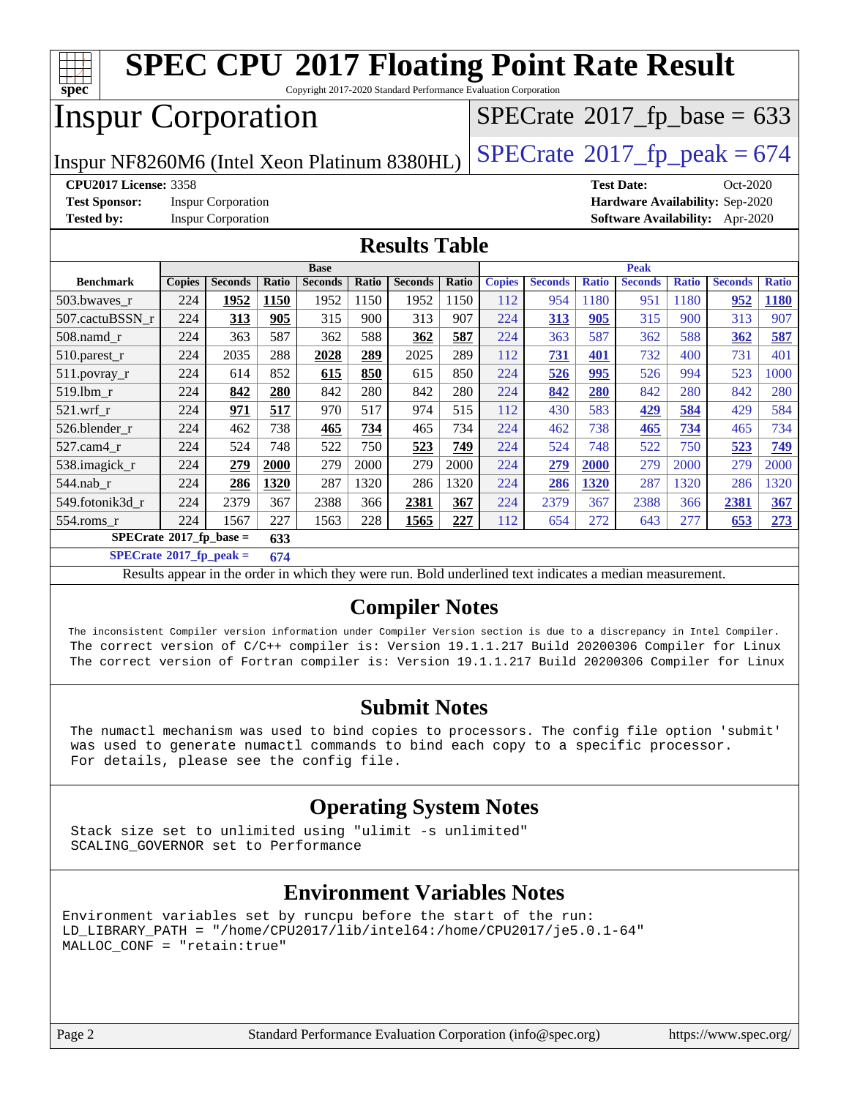

Copyright 2017-2020 Standard Performance Evaluation Corporation

# Inspur Corporation

Inspur NF8260M6 (Intel Xeon Platinum 8380HL)  $\left|$  [SPECrate](http://www.spec.org/auto/cpu2017/Docs/result-fields.html#SPECrate2017fppeak)®[2017\\_fp\\_peak = 6](http://www.spec.org/auto/cpu2017/Docs/result-fields.html#SPECrate2017fppeak)74

 $SPECTate$ <sup>®</sup>[2017\\_fp\\_base =](http://www.spec.org/auto/cpu2017/Docs/result-fields.html#SPECrate2017fpbase) 633

**[Test Sponsor:](http://www.spec.org/auto/cpu2017/Docs/result-fields.html#TestSponsor)** Inspur Corporation **[Hardware Availability:](http://www.spec.org/auto/cpu2017/Docs/result-fields.html#HardwareAvailability)** Sep-2020

**[CPU2017 License:](http://www.spec.org/auto/cpu2017/Docs/result-fields.html#CPU2017License)** 3358 **[Test Date:](http://www.spec.org/auto/cpu2017/Docs/result-fields.html#TestDate)** Oct-2020 **[Tested by:](http://www.spec.org/auto/cpu2017/Docs/result-fields.html#Testedby)** Inspur Corporation **[Software Availability:](http://www.spec.org/auto/cpu2017/Docs/result-fields.html#SoftwareAvailability)** Apr-2020

### **[Results Table](http://www.spec.org/auto/cpu2017/Docs/result-fields.html#ResultsTable)**

|                                           | <b>Base</b>   |                |       |                |              | <b>Peak</b>    |       |               |                |              |                |              |                |              |
|-------------------------------------------|---------------|----------------|-------|----------------|--------------|----------------|-------|---------------|----------------|--------------|----------------|--------------|----------------|--------------|
| <b>Benchmark</b>                          | <b>Copies</b> | <b>Seconds</b> | Ratio | <b>Seconds</b> | <b>Ratio</b> | <b>Seconds</b> | Ratio | <b>Copies</b> | <b>Seconds</b> | <b>Ratio</b> | <b>Seconds</b> | <b>Ratio</b> | <b>Seconds</b> | <b>Ratio</b> |
| 503.bwaves_r                              | 224           | 1952           | 1150  | 1952           | 1150         | 1952           | 1150  | 112           | 954            | 1180         | 951            | 1180         | 952            | 1180         |
| 507.cactuBSSN r                           | 224           | 313            | 905   | 315            | 900          | 313            | 907   | 224           | 313            | 905          | 315            | 900          | 313            | 907          |
| $508$ .namd $r$                           | 224           | 363            | 587   | 362            | 588          | 362            | 587   | 224           | 363            | 587          | 362            | 588          | 362            | 587          |
| 510.parest_r                              | 224           | 2035           | 288   | 2028           | 289          | 2025           | 289   | 112           | 731            | 401          | 732            | 400          | 731            | 401          |
| 511.povray_r                              | 224           | 614            | 852   | 615            | 850          | 615            | 850   | 224           | 526            | 995          | 526            | 994          | 523            | 1000         |
| 519.1bm r                                 | 224           | 842            | 280   | 842            | 280          | 842            | 280   | 224           | 842            | 280          | 842            | 280          | 842            | 280          |
| $521$ .wrf r                              | 224           | 971            | 517   | 970            | 517          | 974            | 515   | 112           | 430            | 583          | 429            | 584          | 429            | 584          |
| 526.blender r                             | 224           | 462            | 738   | 465            | 734          | 465            | 734   | 224           | 462            | 738          | 465            | 734          | 465            | 734          |
| $527.cam4_r$                              | 224           | 524            | 748   | 522            | 750          | 523            | 749   | 224           | 524            | 748          | 522            | 750          | 523            | 749          |
| 538.imagick_r                             | 224           | 279            | 2000  | 279            | 2000         | 279            | 2000  | 224           | 279            | 2000         | 279            | 2000         | 279            | 2000         |
| $544$ .nab r                              | 224           | 286            | 1320  | 287            | 1320         | 286            | 1320  | 224           | 286            | 1320         | 287            | 1320         | 286            | 1320         |
| 549.fotonik3d r                           | 224           | 2379           | 367   | 2388           | 366          | 2381           | 367   | 224           | 2379           | 367          | 2388           | 366          | 2381           | 367          |
| $554$ .roms_r                             | 224           | 1567           | 227   | 1563           | 228          | 1565           | 227   | 112           | 654            | 272          | 643            | 277          | 653            | 273          |
| $SPECrate^{\otimes}2017$ fp base =<br>633 |               |                |       |                |              |                |       |               |                |              |                |              |                |              |

#### **[SPECrate](http://www.spec.org/auto/cpu2017/Docs/result-fields.html#SPECrate2017fppeak)[2017\\_fp\\_peak =](http://www.spec.org/auto/cpu2017/Docs/result-fields.html#SPECrate2017fppeak) 674**

Results appear in the [order in which they were run](http://www.spec.org/auto/cpu2017/Docs/result-fields.html#RunOrder). Bold underlined text [indicates a median measurement](http://www.spec.org/auto/cpu2017/Docs/result-fields.html#Median).

## **[Compiler Notes](http://www.spec.org/auto/cpu2017/Docs/result-fields.html#CompilerNotes)**

 The inconsistent Compiler version information under Compiler Version section is due to a discrepancy in Intel Compiler. The correct version of C/C++ compiler is: Version 19.1.1.217 Build 20200306 Compiler for Linux The correct version of Fortran compiler is: Version 19.1.1.217 Build 20200306 Compiler for Linux

## **[Submit Notes](http://www.spec.org/auto/cpu2017/Docs/result-fields.html#SubmitNotes)**

 The numactl mechanism was used to bind copies to processors. The config file option 'submit' was used to generate numactl commands to bind each copy to a specific processor. For details, please see the config file.

## **[Operating System Notes](http://www.spec.org/auto/cpu2017/Docs/result-fields.html#OperatingSystemNotes)**

 Stack size set to unlimited using "ulimit -s unlimited" SCALING\_GOVERNOR set to Performance

## **[Environment Variables Notes](http://www.spec.org/auto/cpu2017/Docs/result-fields.html#EnvironmentVariablesNotes)**

Environment variables set by runcpu before the start of the run: LD\_LIBRARY\_PATH = "/home/CPU2017/lib/intel64:/home/CPU2017/je5.0.1-64" MALLOC\_CONF = "retain:true"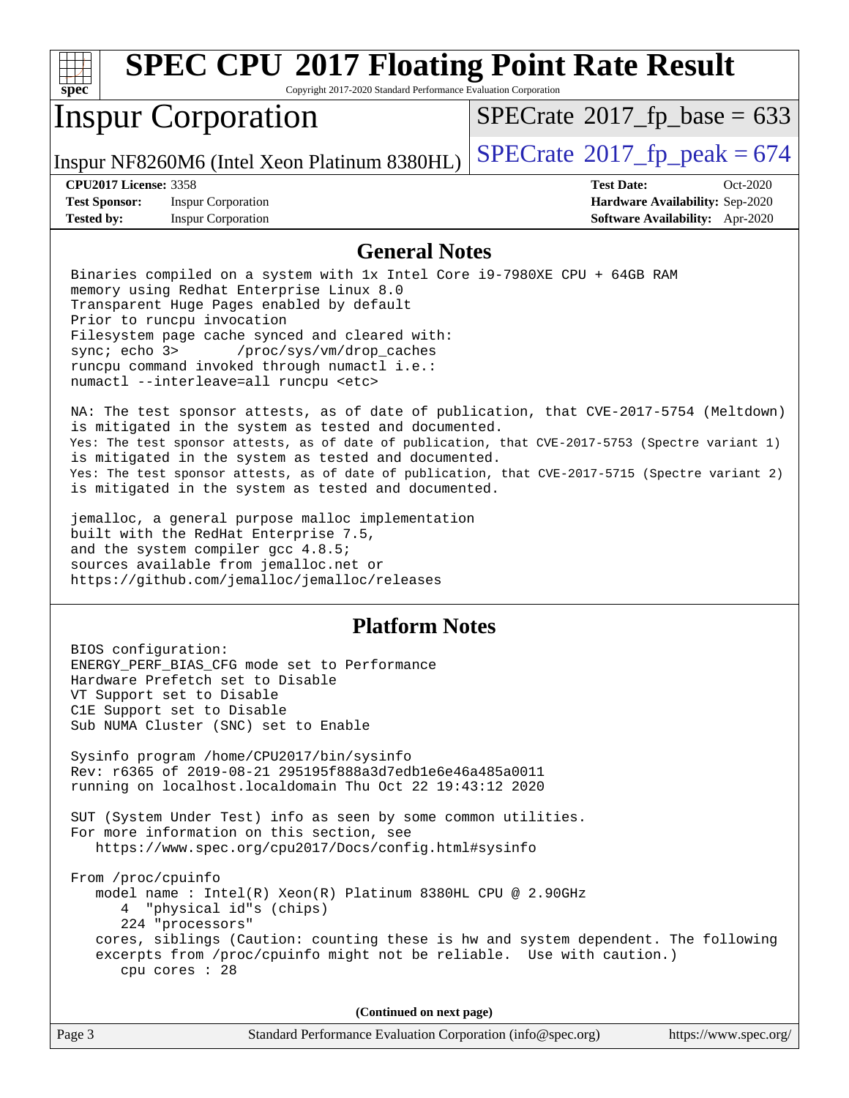

Copyright 2017-2020 Standard Performance Evaluation Corporation

## Inspur Corporation

 $SPECTate$ <sup>®</sup>[2017\\_fp\\_base =](http://www.spec.org/auto/cpu2017/Docs/result-fields.html#SPECrate2017fpbase) 633

Inspur NF8260M6 (Intel Xeon Platinum 8380HL)  $\vert$  [SPECrate](http://www.spec.org/auto/cpu2017/Docs/result-fields.html#SPECrate2017fppeak)®[2017\\_fp\\_peak = 6](http://www.spec.org/auto/cpu2017/Docs/result-fields.html#SPECrate2017fppeak)74

**[Test Sponsor:](http://www.spec.org/auto/cpu2017/Docs/result-fields.html#TestSponsor)** Inspur Corporation **[Hardware Availability:](http://www.spec.org/auto/cpu2017/Docs/result-fields.html#HardwareAvailability)** Sep-2020 **[Tested by:](http://www.spec.org/auto/cpu2017/Docs/result-fields.html#Testedby)** Inspur Corporation **[Software Availability:](http://www.spec.org/auto/cpu2017/Docs/result-fields.html#SoftwareAvailability)** Apr-2020

**[CPU2017 License:](http://www.spec.org/auto/cpu2017/Docs/result-fields.html#CPU2017License)** 3358 **[Test Date:](http://www.spec.org/auto/cpu2017/Docs/result-fields.html#TestDate)** Oct-2020

### **[General Notes](http://www.spec.org/auto/cpu2017/Docs/result-fields.html#GeneralNotes)**

 Binaries compiled on a system with 1x Intel Core i9-7980XE CPU + 64GB RAM memory using Redhat Enterprise Linux 8.0 Transparent Huge Pages enabled by default Prior to runcpu invocation Filesystem page cache synced and cleared with: sync; echo 3> /proc/sys/vm/drop\_caches runcpu command invoked through numactl i.e.: numactl --interleave=all runcpu <etc>

 NA: The test sponsor attests, as of date of publication, that CVE-2017-5754 (Meltdown) is mitigated in the system as tested and documented. Yes: The test sponsor attests, as of date of publication, that CVE-2017-5753 (Spectre variant 1) is mitigated in the system as tested and documented. Yes: The test sponsor attests, as of date of publication, that CVE-2017-5715 (Spectre variant 2) is mitigated in the system as tested and documented.

 jemalloc, a general purpose malloc implementation built with the RedHat Enterprise 7.5, and the system compiler gcc 4.8.5; sources available from jemalloc.net or <https://github.com/jemalloc/jemalloc/releases>

## **[Platform Notes](http://www.spec.org/auto/cpu2017/Docs/result-fields.html#PlatformNotes)**

 BIOS configuration: ENERGY\_PERF\_BIAS\_CFG mode set to Performance Hardware Prefetch set to Disable VT Support set to Disable C1E Support set to Disable Sub NUMA Cluster (SNC) set to Enable Sysinfo program /home/CPU2017/bin/sysinfo Rev: r6365 of 2019-08-21 295195f888a3d7edb1e6e46a485a0011 running on localhost.localdomain Thu Oct 22 19:43:12 2020 SUT (System Under Test) info as seen by some common utilities. For more information on this section, see <https://www.spec.org/cpu2017/Docs/config.html#sysinfo> From /proc/cpuinfo model name : Intel(R) Xeon(R) Platinum 8380HL CPU @ 2.90GHz 4 "physical id"s (chips) 224 "processors" cores, siblings (Caution: counting these is hw and system dependent. The following excerpts from /proc/cpuinfo might not be reliable. Use with caution.) cpu cores : 28

**(Continued on next page)**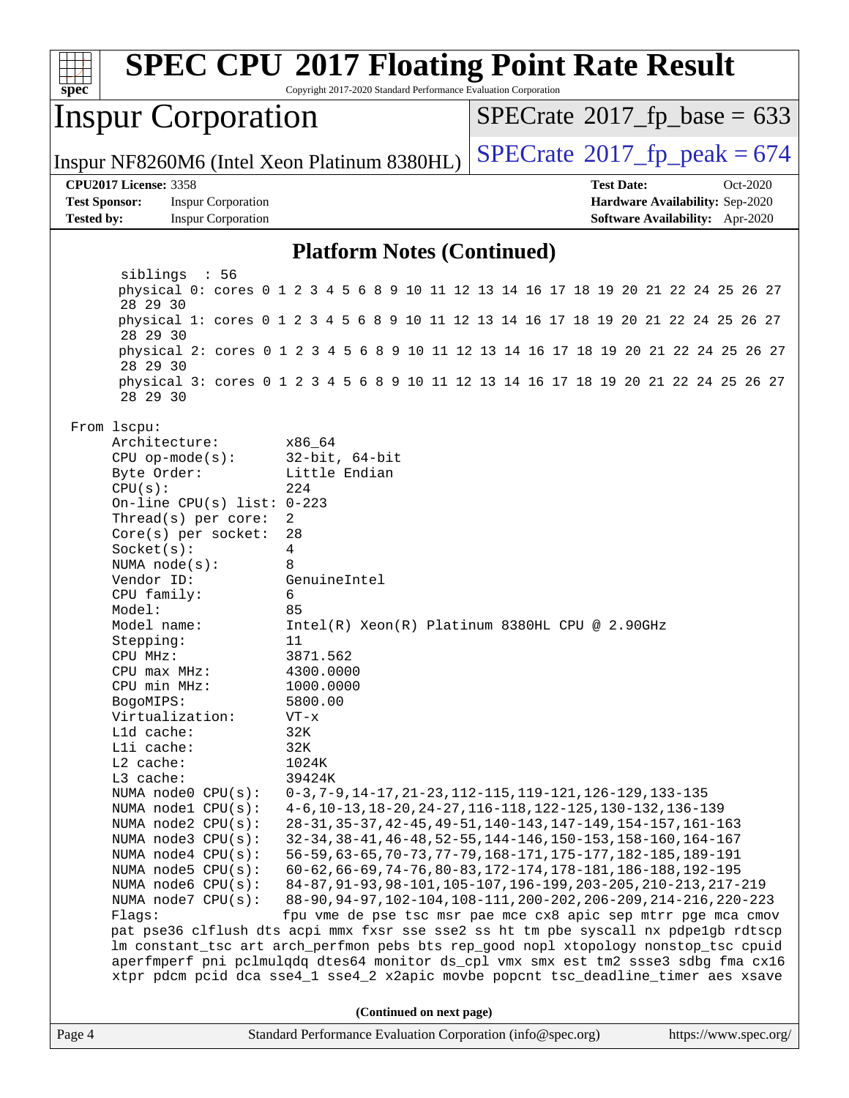

Copyright 2017-2020 Standard Performance Evaluation Corporation

## Inspur Corporation

 $SPECTate$ <sup>®</sup>[2017\\_fp\\_base =](http://www.spec.org/auto/cpu2017/Docs/result-fields.html#SPECrate2017fpbase) 633

Inspur NF8260M6 (Intel Xeon Platinum 8380HL)  $\left|$  [SPECrate](http://www.spec.org/auto/cpu2017/Docs/result-fields.html#SPECrate2017fppeak)<sup>®</sup>[2017\\_fp\\_peak = 6](http://www.spec.org/auto/cpu2017/Docs/result-fields.html#SPECrate2017fppeak)74

#### **[CPU2017 License:](http://www.spec.org/auto/cpu2017/Docs/result-fields.html#CPU2017License)** 3358 **[Test Date:](http://www.spec.org/auto/cpu2017/Docs/result-fields.html#TestDate)** Oct-2020

**[Test Sponsor:](http://www.spec.org/auto/cpu2017/Docs/result-fields.html#TestSponsor)** Inspur Corporation **[Hardware Availability:](http://www.spec.org/auto/cpu2017/Docs/result-fields.html#HardwareAvailability)** Sep-2020 **[Tested by:](http://www.spec.org/auto/cpu2017/Docs/result-fields.html#Testedby)** Inspur Corporation **[Software Availability:](http://www.spec.org/auto/cpu2017/Docs/result-fields.html#SoftwareAvailability)** Apr-2020

### **[Platform Notes \(Continued\)](http://www.spec.org/auto/cpu2017/Docs/result-fields.html#PlatformNotes)**

 siblings : 56 physical 0: cores 0 1 2 3 4 5 6 8 9 10 11 12 13 14 16 17 18 19 20 21 22 24 25 26 27 28 29 30 physical 1: cores 0 1 2 3 4 5 6 8 9 10 11 12 13 14 16 17 18 19 20 21 22 24 25 26 27 28 29 30 physical 2: cores 0 1 2 3 4 5 6 8 9 10 11 12 13 14 16 17 18 19 20 21 22 24 25 26 27 28 29 30 physical 3: cores 0 1 2 3 4 5 6 8 9 10 11 12 13 14 16 17 18 19 20 21 22 24 25 26 27 28 29 30 From lscpu: Architecture: x86\_64 CPU op-mode(s): 32-bit, 64-bit Byte Order: Little Endian CPU(s): 224 On-line CPU(s) list: 0-223 Thread(s) per core: 2 Core(s) per socket: 28 Socket(s): 4 NUMA node(s): 8 Vendor ID: GenuineIntel CPU family: 6 Model: 85 Model name: Intel(R) Xeon(R) Platinum 8380HL CPU @ 2.90GHz Stepping: 11 CPU MHz: 3871.562 CPU max MHz: 4300.0000 CPU min MHz: 1000.0000 BogoMIPS: 5800.00 Virtualization: VT-x L1d cache: 32K L1i cache: 32K L2 cache: 1024K L3 cache: 39424K NUMA node0 CPU(s): 0-3,7-9,14-17,21-23,112-115,119-121,126-129,133-135 NUMA node1 CPU(s): 4-6,10-13,18-20,24-27,116-118,122-125,130-132,136-139 NUMA node2 CPU(s): 28-31,35-37,42-45,49-51,140-143,147-149,154-157,161-163 NUMA node3 CPU(s): 32-34,38-41,46-48,52-55,144-146,150-153,158-160,164-167 NUMA node4 CPU(s): 56-59,63-65,70-73,77-79,168-171,175-177,182-185,189-191 NUMA node5 CPU(s): 60-62,66-69,74-76,80-83,172-174,178-181,186-188,192-195 NUMA node6 CPU(s): 84-87,91-93,98-101,105-107,196-199,203-205,210-213,217-219 NUMA node7 CPU(s): 88-90,94-97,102-104,108-111,200-202,206-209,214-216,220-223 Flags: fpu vme de pse tsc msr pae mce cx8 apic sep mtrr pge mca cmov pat pse36 clflush dts acpi mmx fxsr sse sse2 ss ht tm pbe syscall nx pdpe1gb rdtscp lm constant\_tsc art arch\_perfmon pebs bts rep\_good nopl xtopology nonstop\_tsc cpuid aperfmperf pni pclmulqdq dtes64 monitor ds\_cpl vmx smx est tm2 ssse3 sdbg fma cx16 xtpr pdcm pcid dca sse4\_1 sse4\_2 x2apic movbe popcnt tsc\_deadline\_timer aes xsave **(Continued on next page)**

| $\vert$ Page 4<br>Standard Performance Evaluation Corporation (info@spec.org)<br>https://www.spec.org/ |
|--------------------------------------------------------------------------------------------------------|
|--------------------------------------------------------------------------------------------------------|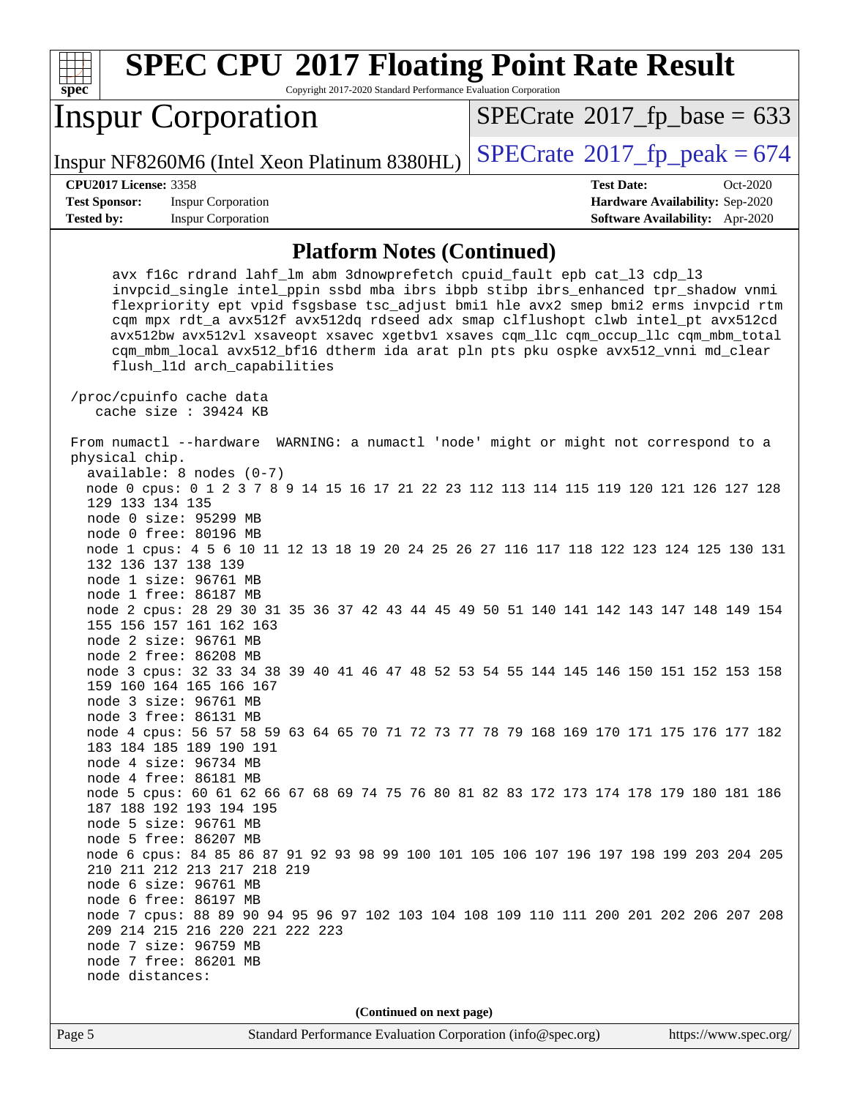| s<br>п<br>æ<br>Ľ<br>c |  |  |  |  |  |
|-----------------------|--|--|--|--|--|

Copyright 2017-2020 Standard Performance Evaluation Corporation

# Inspur Corporation

Inspur NF8260M6 (Intel Xeon Platinum 8380HL)  $\vert$  [SPECrate](http://www.spec.org/auto/cpu2017/Docs/result-fields.html#SPECrate2017fppeak)®[2017\\_fp\\_peak = 6](http://www.spec.org/auto/cpu2017/Docs/result-fields.html#SPECrate2017fppeak)74

 $SPECTate$ <sup>®</sup>[2017\\_fp\\_base =](http://www.spec.org/auto/cpu2017/Docs/result-fields.html#SPECrate2017fpbase) 633

**[CPU2017 License:](http://www.spec.org/auto/cpu2017/Docs/result-fields.html#CPU2017License)** 3358 **[Test Date:](http://www.spec.org/auto/cpu2017/Docs/result-fields.html#TestDate)** Oct-2020

**[Test Sponsor:](http://www.spec.org/auto/cpu2017/Docs/result-fields.html#TestSponsor)** Inspur Corporation **[Hardware Availability:](http://www.spec.org/auto/cpu2017/Docs/result-fields.html#HardwareAvailability)** Sep-2020 **[Tested by:](http://www.spec.org/auto/cpu2017/Docs/result-fields.html#Testedby)** Inspur Corporation **[Software Availability:](http://www.spec.org/auto/cpu2017/Docs/result-fields.html#SoftwareAvailability)** Apr-2020

#### **[Platform Notes \(Continued\)](http://www.spec.org/auto/cpu2017/Docs/result-fields.html#PlatformNotes)**

**(Continued on next page)**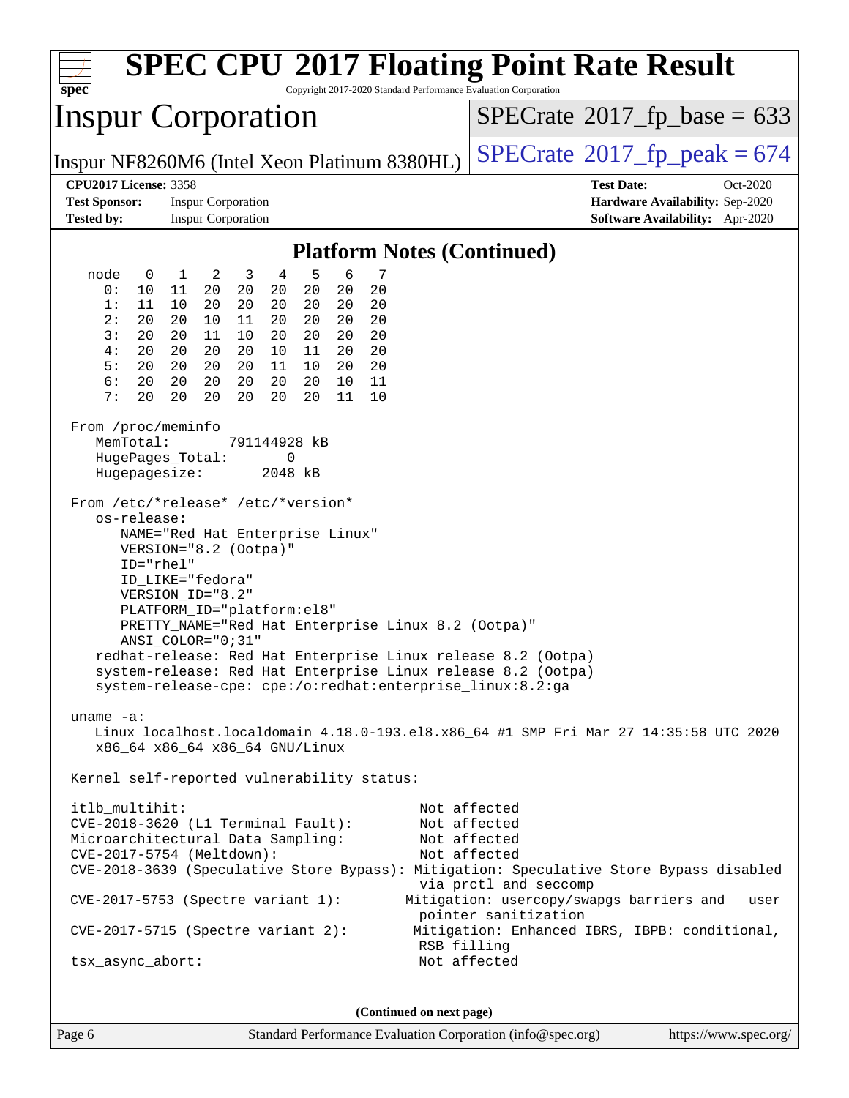| <b>SPEC CPU®2017 Floating Point Rate Result</b><br>$spec^*$<br>Copyright 2017-2020 Standard Performance Evaluation Corporation                                                                                                                                                                                                                                                                                                                                                                                                        |                                                                                                                                                                                                                                                                                                                                                                                                                                                                                                                                                                                                                                                                                                                                                                                                                              |                                                                                                            |  |  |  |  |  |  |
|---------------------------------------------------------------------------------------------------------------------------------------------------------------------------------------------------------------------------------------------------------------------------------------------------------------------------------------------------------------------------------------------------------------------------------------------------------------------------------------------------------------------------------------|------------------------------------------------------------------------------------------------------------------------------------------------------------------------------------------------------------------------------------------------------------------------------------------------------------------------------------------------------------------------------------------------------------------------------------------------------------------------------------------------------------------------------------------------------------------------------------------------------------------------------------------------------------------------------------------------------------------------------------------------------------------------------------------------------------------------------|------------------------------------------------------------------------------------------------------------|--|--|--|--|--|--|
|                                                                                                                                                                                                                                                                                                                                                                                                                                                                                                                                       | <b>Inspur Corporation</b>                                                                                                                                                                                                                                                                                                                                                                                                                                                                                                                                                                                                                                                                                                                                                                                                    | $SPECrate^{\circ}2017$ [p base = 633                                                                       |  |  |  |  |  |  |
|                                                                                                                                                                                                                                                                                                                                                                                                                                                                                                                                       | Inspur NF8260M6 (Intel Xeon Platinum 8380HL)                                                                                                                                                                                                                                                                                                                                                                                                                                                                                                                                                                                                                                                                                                                                                                                 | $SPECTate@2017fr peak = 674$                                                                               |  |  |  |  |  |  |
| <b>CPU2017 License: 3358</b><br><b>Test Sponsor:</b><br><b>Tested by:</b>                                                                                                                                                                                                                                                                                                                                                                                                                                                             | <b>Inspur Corporation</b><br><b>Inspur Corporation</b>                                                                                                                                                                                                                                                                                                                                                                                                                                                                                                                                                                                                                                                                                                                                                                       | <b>Test Date:</b><br>Oct-2020<br>Hardware Availability: Sep-2020<br><b>Software Availability:</b> Apr-2020 |  |  |  |  |  |  |
|                                                                                                                                                                                                                                                                                                                                                                                                                                                                                                                                       |                                                                                                                                                                                                                                                                                                                                                                                                                                                                                                                                                                                                                                                                                                                                                                                                                              |                                                                                                            |  |  |  |  |  |  |
| node<br>$\overline{0}$                                                                                                                                                                                                                                                                                                                                                                                                                                                                                                                | <b>Platform Notes (Continued)</b><br>4<br>5<br>6<br>$\overline{\phantom{0}}^2$<br>$\mathbf{1}$<br>3<br>7                                                                                                                                                                                                                                                                                                                                                                                                                                                                                                                                                                                                                                                                                                                     |                                                                                                            |  |  |  |  |  |  |
| 0:<br>10<br>1:<br>11<br>2:<br>20<br>3:<br>20<br>4 :<br>20<br>5:<br>20<br>6 :<br>20<br>7:<br>20<br>From /proc/meminfo<br>MemTotal:<br>HugePages_Total:<br>Hugepagesize:<br>os-release:<br>$ID="rhe1"$                                                                                                                                                                                                                                                                                                                                  | 20<br>20<br>20<br>20<br>20<br>11<br>20<br>10<br>20<br>20<br>20<br>20<br>20<br>20<br>20<br>20<br>10<br>11<br>20<br>20<br>20<br>20<br>11<br>10<br>20<br>20<br>20<br>20<br>20<br>20<br>20<br>10<br>11<br>20<br>20<br>20<br>20<br>20<br>11<br>10<br>20<br>20<br>20<br>20<br>20<br>20<br>20<br>10<br>11<br>20<br>20<br>20<br>20<br>20<br>11<br>10<br>791144928 kB<br>0<br>2048 kB<br>From /etc/*release* /etc/*version*<br>NAME="Red Hat Enterprise Linux"<br>VERSION="8.2 (Ootpa)"<br>ID_LIKE="fedora"<br>VERSION ID="8.2"<br>PLATFORM_ID="platform:el8"<br>PRETTY_NAME="Red Hat Enterprise Linux 8.2 (Ootpa)"<br>ANSI COLOR="0;31"<br>redhat-release: Red Hat Enterprise Linux release 8.2 (Ootpa)<br>system-release: Red Hat Enterprise Linux release 8.2 (Ootpa)<br>system-release-cpe: cpe:/o:redhat:enterprise_linux:8.2:ga |                                                                                                            |  |  |  |  |  |  |
| uname $-a$ :<br>Linux localhost.localdomain 4.18.0-193.el8.x86_64 #1 SMP Fri Mar 27 14:35:58 UTC 2020<br>x86_64 x86_64 x86_64 GNU/Linux                                                                                                                                                                                                                                                                                                                                                                                               |                                                                                                                                                                                                                                                                                                                                                                                                                                                                                                                                                                                                                                                                                                                                                                                                                              |                                                                                                            |  |  |  |  |  |  |
| Kernel self-reported vulnerability status:                                                                                                                                                                                                                                                                                                                                                                                                                                                                                            |                                                                                                                                                                                                                                                                                                                                                                                                                                                                                                                                                                                                                                                                                                                                                                                                                              |                                                                                                            |  |  |  |  |  |  |
| itlb_multihit:<br>Not affected<br>$CVE-2018-3620$ (L1 Terminal Fault):<br>Not affected<br>Microarchitectural Data Sampling:<br>Not affected<br>CVE-2017-5754 (Meltdown):<br>Not affected<br>CVE-2018-3639 (Speculative Store Bypass): Mitigation: Speculative Store Bypass disabled<br>via prctl and seccomp<br>Mitigation: usercopy/swapgs barriers and __user<br>CVE-2017-5753 (Spectre variant 1):<br>pointer sanitization<br>$CVE-2017-5715$ (Spectre variant 2):<br>Mitigation: Enhanced IBRS, IBPB: conditional,<br>RSB filling |                                                                                                                                                                                                                                                                                                                                                                                                                                                                                                                                                                                                                                                                                                                                                                                                                              |                                                                                                            |  |  |  |  |  |  |
| tsx_async_abort:                                                                                                                                                                                                                                                                                                                                                                                                                                                                                                                      | Not affected                                                                                                                                                                                                                                                                                                                                                                                                                                                                                                                                                                                                                                                                                                                                                                                                                 |                                                                                                            |  |  |  |  |  |  |
| (Continued on next page)                                                                                                                                                                                                                                                                                                                                                                                                                                                                                                              |                                                                                                                                                                                                                                                                                                                                                                                                                                                                                                                                                                                                                                                                                                                                                                                                                              |                                                                                                            |  |  |  |  |  |  |

Page 6 Standard Performance Evaluation Corporation [\(info@spec.org\)](mailto:info@spec.org) <https://www.spec.org/>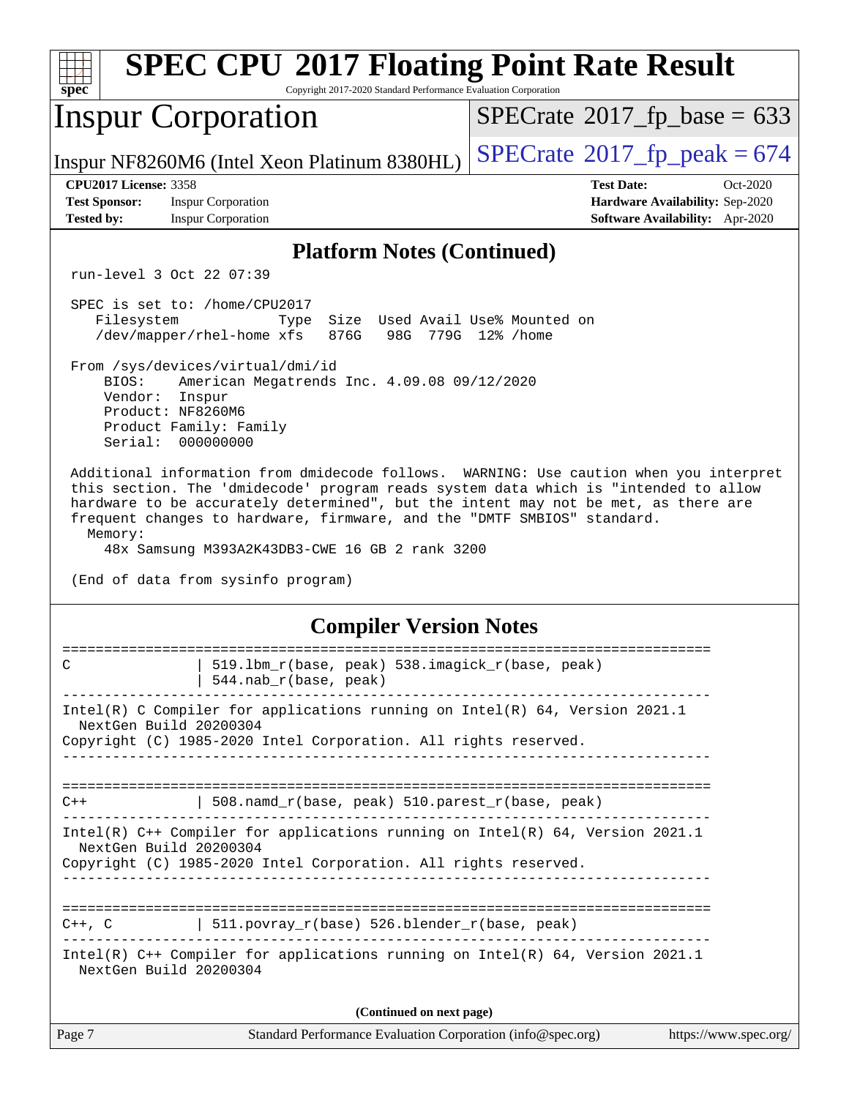| <b>SPEC CPU®2017 Floating Point Rate Result</b><br>spec <sup>®</sup><br>Copyright 2017-2020 Standard Performance Evaluation Corporation                                                                                                                                                                                                                                                                                                           |                                                                                                                                                                              |                                            |  |  |  |
|---------------------------------------------------------------------------------------------------------------------------------------------------------------------------------------------------------------------------------------------------------------------------------------------------------------------------------------------------------------------------------------------------------------------------------------------------|------------------------------------------------------------------------------------------------------------------------------------------------------------------------------|--------------------------------------------|--|--|--|
|                                                                                                                                                                                                                                                                                                                                                                                                                                                   | <b>Inspur Corporation</b>                                                                                                                                                    | $SPECrate^{\circ}2017$ fp base = 633       |  |  |  |
|                                                                                                                                                                                                                                                                                                                                                                                                                                                   | Inspur NF8260M6 (Intel Xeon Platinum 8380HL)                                                                                                                                 | $SPECrate$ <sup>®</sup> 2017_fp_peak = 674 |  |  |  |
| <b>CPU2017 License: 3358</b>                                                                                                                                                                                                                                                                                                                                                                                                                      |                                                                                                                                                                              | <b>Test Date:</b><br>Oct-2020              |  |  |  |
| <b>Test Sponsor:</b>                                                                                                                                                                                                                                                                                                                                                                                                                              | <b>Inspur Corporation</b>                                                                                                                                                    | Hardware Availability: Sep-2020            |  |  |  |
| <b>Tested by:</b>                                                                                                                                                                                                                                                                                                                                                                                                                                 | <b>Inspur Corporation</b>                                                                                                                                                    | Software Availability: Apr-2020            |  |  |  |
|                                                                                                                                                                                                                                                                                                                                                                                                                                                   | <b>Platform Notes (Continued)</b>                                                                                                                                            |                                            |  |  |  |
|                                                                                                                                                                                                                                                                                                                                                                                                                                                   | run-level 3 Oct 22 07:39                                                                                                                                                     |                                            |  |  |  |
| Filesystem                                                                                                                                                                                                                                                                                                                                                                                                                                        | SPEC is set to: /home/CPU2017<br>Size Used Avail Use% Mounted on<br>Type<br>/dev/mapper/rhel-home xfs<br>876G                                                                | 98G 779G 12% / home                        |  |  |  |
| BIOS:<br>Vendor:                                                                                                                                                                                                                                                                                                                                                                                                                                  | From /sys/devices/virtual/dmi/id<br>American Megatrends Inc. 4.09.08 09/12/2020<br>Inspur<br>Product: NF8260M6<br>Product Family: Family<br>Serial: 000000000                |                                            |  |  |  |
| Additional information from dmidecode follows. WARNING: Use caution when you interpret<br>this section. The 'dmidecode' program reads system data which is "intended to allow<br>hardware to be accurately determined", but the intent may not be met, as there are<br>frequent changes to hardware, firmware, and the "DMTF SMBIOS" standard.<br>Memory:<br>48x Samsung M393A2K43DB3-CWE 16 GB 2 rank 3200<br>(End of data from sysinfo program) |                                                                                                                                                                              |                                            |  |  |  |
| <b>Compiler Version Notes</b>                                                                                                                                                                                                                                                                                                                                                                                                                     |                                                                                                                                                                              |                                            |  |  |  |
|                                                                                                                                                                                                                                                                                                                                                                                                                                                   | 519.1bm_r(base, peak) 538.imagick_r(base, peak)<br>544.nab_r(base, peak)                                                                                                     |                                            |  |  |  |
|                                                                                                                                                                                                                                                                                                                                                                                                                                                   | Intel(R) C Compiler for applications running on $Intel(R) 64$ , Version 2021.1<br>NextGen Build 20200304<br>Copyright (C) 1985-2020 Intel Corporation. All rights reserved.  |                                            |  |  |  |
| $C++$                                                                                                                                                                                                                                                                                                                                                                                                                                             | 508.namd_r(base, peak) 510.parest_r(base, peak)                                                                                                                              |                                            |  |  |  |
|                                                                                                                                                                                                                                                                                                                                                                                                                                                   | Intel(R) $C++$ Compiler for applications running on Intel(R) 64, Version 2021.1<br>NextGen Build 20200304<br>Copyright (C) 1985-2020 Intel Corporation. All rights reserved. |                                            |  |  |  |
| $C++$ , $C$                                                                                                                                                                                                                                                                                                                                                                                                                                       | $\vert$ 511.povray_r(base) 526.blender_r(base, peak)                                                                                                                         |                                            |  |  |  |
|                                                                                                                                                                                                                                                                                                                                                                                                                                                   | Intel(R) $C++$ Compiler for applications running on Intel(R) 64, Version 2021.1<br>NextGen Build 20200304                                                                    |                                            |  |  |  |
|                                                                                                                                                                                                                                                                                                                                                                                                                                                   | (Continued on next page)                                                                                                                                                     |                                            |  |  |  |
| Page 7                                                                                                                                                                                                                                                                                                                                                                                                                                            | Standard Performance Evaluation Corporation (info@spec.org)                                                                                                                  | https://www.spec.org/                      |  |  |  |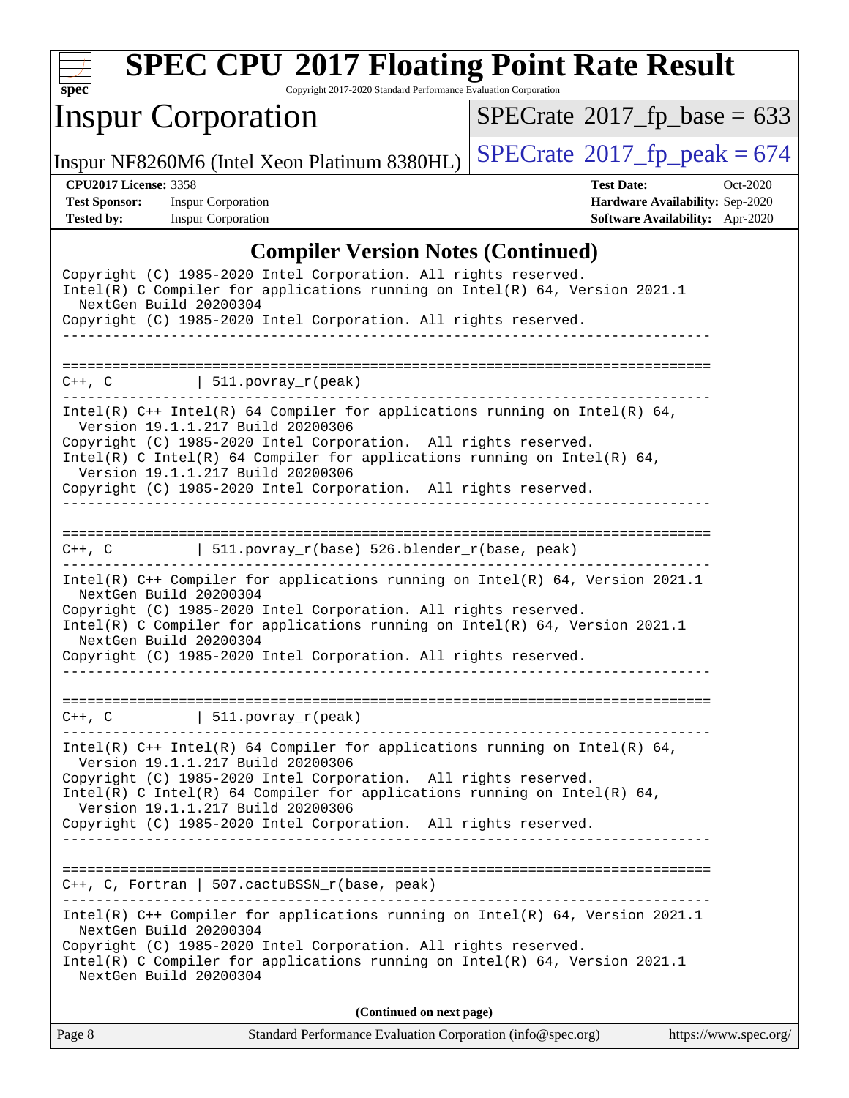

Copyright 2017-2020 Standard Performance Evaluation Corporation

# Inspur Corporation

 $SPECTate$ <sup>®</sup>[2017\\_fp\\_base =](http://www.spec.org/auto/cpu2017/Docs/result-fields.html#SPECrate2017fpbase) 633

Inspur NF8260M6 (Intel Xeon Platinum 8380HL)  $\left|$  [SPECrate](http://www.spec.org/auto/cpu2017/Docs/result-fields.html#SPECrate2017fppeak)®[2017\\_fp\\_peak = 6](http://www.spec.org/auto/cpu2017/Docs/result-fields.html#SPECrate2017fppeak)74

**[CPU2017 License:](http://www.spec.org/auto/cpu2017/Docs/result-fields.html#CPU2017License)** 3358 **[Test Date:](http://www.spec.org/auto/cpu2017/Docs/result-fields.html#TestDate)** Oct-2020 **[Test Sponsor:](http://www.spec.org/auto/cpu2017/Docs/result-fields.html#TestSponsor)** Inspur Corporation **[Hardware Availability:](http://www.spec.org/auto/cpu2017/Docs/result-fields.html#HardwareAvailability)** Sep-2020 **[Tested by:](http://www.spec.org/auto/cpu2017/Docs/result-fields.html#Testedby)** Inspur Corporation **[Software Availability:](http://www.spec.org/auto/cpu2017/Docs/result-fields.html#SoftwareAvailability)** Apr-2020

### **[Compiler Version Notes \(Continued\)](http://www.spec.org/auto/cpu2017/Docs/result-fields.html#CompilerVersionNotes)**

| Copyright (C) 1985-2020 Intel Corporation. All rights reserved.<br>Intel(R) C Compiler for applications running on Intel(R) 64, Version 2021.1<br>NextGen Build 20200304                                                                                                                                                                               |  |  |  |  |  |
|--------------------------------------------------------------------------------------------------------------------------------------------------------------------------------------------------------------------------------------------------------------------------------------------------------------------------------------------------------|--|--|--|--|--|
| Copyright (C) 1985-2020 Intel Corporation. All rights reserved.                                                                                                                                                                                                                                                                                        |  |  |  |  |  |
|                                                                                                                                                                                                                                                                                                                                                        |  |  |  |  |  |
| $ $ 511.povray_r(peak)<br>$C++$ , $C$                                                                                                                                                                                                                                                                                                                  |  |  |  |  |  |
| Intel(R) $C++$ Intel(R) 64 Compiler for applications running on Intel(R) 64,<br>Version 19.1.1.217 Build 20200306                                                                                                                                                                                                                                      |  |  |  |  |  |
| Copyright (C) 1985-2020 Intel Corporation. All rights reserved.<br>Intel(R) C Intel(R) 64 Compiler for applications running on Intel(R) 64,<br>Version 19.1.1.217 Build 20200306                                                                                                                                                                       |  |  |  |  |  |
| Copyright (C) 1985-2020 Intel Corporation. All rights reserved.                                                                                                                                                                                                                                                                                        |  |  |  |  |  |
| 511.povray_r(base) 526.blender_r(base, peak)<br>$C++$ , $C$                                                                                                                                                                                                                                                                                            |  |  |  |  |  |
| Intel(R) C++ Compiler for applications running on Intel(R) 64, Version 2021.1<br>NextGen Build 20200304<br>Copyright (C) 1985-2020 Intel Corporation. All rights reserved.<br>Intel(R) C Compiler for applications running on Intel(R) 64, Version 2021.1<br>NextGen Build 20200304<br>Copyright (C) 1985-2020 Intel Corporation. All rights reserved. |  |  |  |  |  |
| $C++$ , C $\qquad \qquad \vert$ 511.povray_r(peak)                                                                                                                                                                                                                                                                                                     |  |  |  |  |  |
| $Intel(R)$ C++ Intel(R) 64 Compiler for applications running on Intel(R) 64,<br>Version 19.1.1.217 Build 20200306                                                                                                                                                                                                                                      |  |  |  |  |  |
| Copyright (C) 1985-2020 Intel Corporation. All rights reserved.<br>$Intel(R)$ C Intel(R) 64 Compiler for applications running on Intel(R) 64,<br>Version 19.1.1.217 Build 20200306                                                                                                                                                                     |  |  |  |  |  |
| Copyright (C) 1985-2020 Intel Corporation. All rights reserved.                                                                                                                                                                                                                                                                                        |  |  |  |  |  |
|                                                                                                                                                                                                                                                                                                                                                        |  |  |  |  |  |
| C++, C, Fortran   507.cactuBSSN_r(base, peak)                                                                                                                                                                                                                                                                                                          |  |  |  |  |  |
| Intel(R) C++ Compiler for applications running on Intel(R) $64$ , Version 2021.1<br>NextGen Build 20200304<br>Copyright (C) 1985-2020 Intel Corporation. All rights reserved.<br>Intel(R) C Compiler for applications running on Intel(R) 64, Version 2021.1<br>NextGen Build 20200304                                                                 |  |  |  |  |  |
| (Continued on next page)                                                                                                                                                                                                                                                                                                                               |  |  |  |  |  |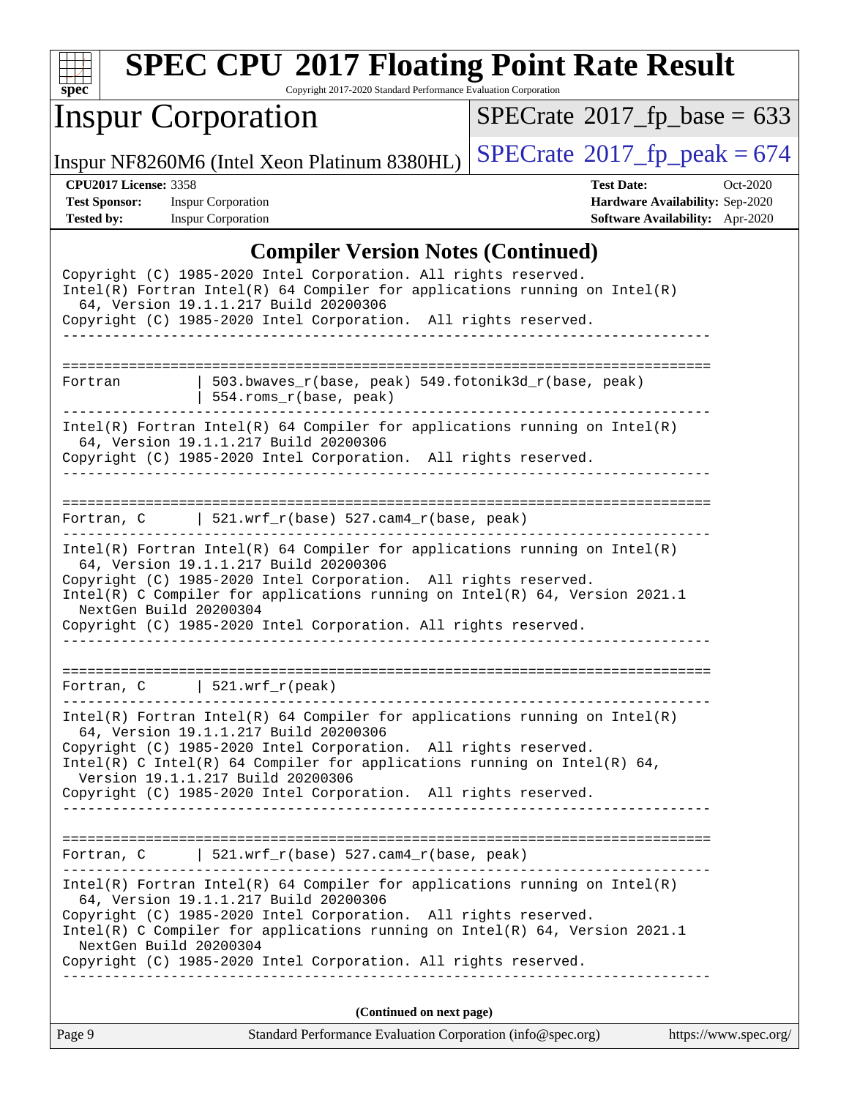

Copyright 2017-2020 Standard Performance Evaluation Corporation

# Inspur Corporation

 $SPECTate$ <sup>®</sup>[2017\\_fp\\_base =](http://www.spec.org/auto/cpu2017/Docs/result-fields.html#SPECrate2017fpbase) 633

Inspur NF8260M6 (Intel Xeon Platinum 8380HL)  $\left|$  [SPECrate](http://www.spec.org/auto/cpu2017/Docs/result-fields.html#SPECrate2017fppeak)®[2017\\_fp\\_peak = 6](http://www.spec.org/auto/cpu2017/Docs/result-fields.html#SPECrate2017fppeak)74

**[CPU2017 License:](http://www.spec.org/auto/cpu2017/Docs/result-fields.html#CPU2017License)** 3358 **[Test Date:](http://www.spec.org/auto/cpu2017/Docs/result-fields.html#TestDate)** Oct-2020 **[Test Sponsor:](http://www.spec.org/auto/cpu2017/Docs/result-fields.html#TestSponsor)** Inspur Corporation **[Hardware Availability:](http://www.spec.org/auto/cpu2017/Docs/result-fields.html#HardwareAvailability)** Sep-2020 **[Tested by:](http://www.spec.org/auto/cpu2017/Docs/result-fields.html#Testedby)** Inspur Corporation **[Software Availability:](http://www.spec.org/auto/cpu2017/Docs/result-fields.html#SoftwareAvailability)** Apr-2020

#### **[Compiler Version Notes \(Continued\)](http://www.spec.org/auto/cpu2017/Docs/result-fields.html#CompilerVersionNotes)**

|                              | Complier version rotes (Commuta)                                                                                                                                                         |                       |
|------------------------------|------------------------------------------------------------------------------------------------------------------------------------------------------------------------------------------|-----------------------|
|                              | Copyright (C) 1985-2020 Intel Corporation. All rights reserved.<br>$Intel(R)$ Fortran Intel(R) 64 Compiler for applications running on Intel(R)<br>64, Version 19.1.1.217 Build 20200306 |                       |
|                              | Copyright (C) 1985-2020 Intel Corporation. All rights reserved.                                                                                                                          |                       |
|                              |                                                                                                                                                                                          |                       |
| Fortran                      | 503.bwaves_r(base, peak) 549.fotonik3d_r(base, peak)                                                                                                                                     |                       |
|                              | 554.roms_r(base, peak)                                                                                                                                                                   |                       |
|                              | $Intel(R)$ Fortran Intel(R) 64 Compiler for applications running on Intel(R)<br>64, Version 19.1.1.217 Build 20200306                                                                    |                       |
|                              | Copyright (C) 1985-2020 Intel Corporation. All rights reserved.                                                                                                                          |                       |
|                              |                                                                                                                                                                                          |                       |
|                              | Fortran, $C$   521.wrf_r(base) 527.cam4_r(base, peak)                                                                                                                                    |                       |
|                              | $Intel(R)$ Fortran Intel(R) 64 Compiler for applications running on Intel(R)<br>64, Version 19.1.1.217 Build 20200306                                                                    |                       |
| NextGen Build 20200304       | Copyright (C) 1985-2020 Intel Corporation. All rights reserved.<br>Intel(R) C Compiler for applications running on Intel(R) 64, Version 2021.1                                           |                       |
|                              | Copyright (C) 1985-2020 Intel Corporation. All rights reserved.                                                                                                                          |                       |
|                              |                                                                                                                                                                                          |                       |
| Fortran, C   521.wrf_r(peak) |                                                                                                                                                                                          |                       |
|                              | $Intel(R)$ Fortran Intel(R) 64 Compiler for applications running on Intel(R)<br>64, Version 19.1.1.217 Build 20200306                                                                    |                       |
|                              | Copyright (C) 1985-2020 Intel Corporation. All rights reserved.<br>Intel(R) C Intel(R) 64 Compiler for applications running on Intel(R) 64,                                              |                       |
|                              | Version 19.1.1.217 Build 20200306<br>Copyright (C) 1985-2020 Intel Corporation. All rights reserved.                                                                                     |                       |
|                              |                                                                                                                                                                                          |                       |
|                              | Fortran, C   521.wrf_r(base) 527.cam4_r(base, peak)                                                                                                                                      |                       |
|                              | $Intel(R)$ Fortran Intel(R) 64 Compiler for applications running on Intel(R)<br>64, Version 19.1.1.217 Build 20200306                                                                    |                       |
| NextGen Build 20200304       | Copyright (C) 1985-2020 Intel Corporation. All rights reserved.<br>Intel(R) C Compiler for applications running on Intel(R) 64, Version 2021.1                                           |                       |
|                              | Copyright (C) 1985-2020 Intel Corporation. All rights reserved.                                                                                                                          |                       |
|                              | (Continued on next page)                                                                                                                                                                 |                       |
| Page 9                       | Standard Performance Evaluation Corporation (info@spec.org)                                                                                                                              | https://www.spec.org/ |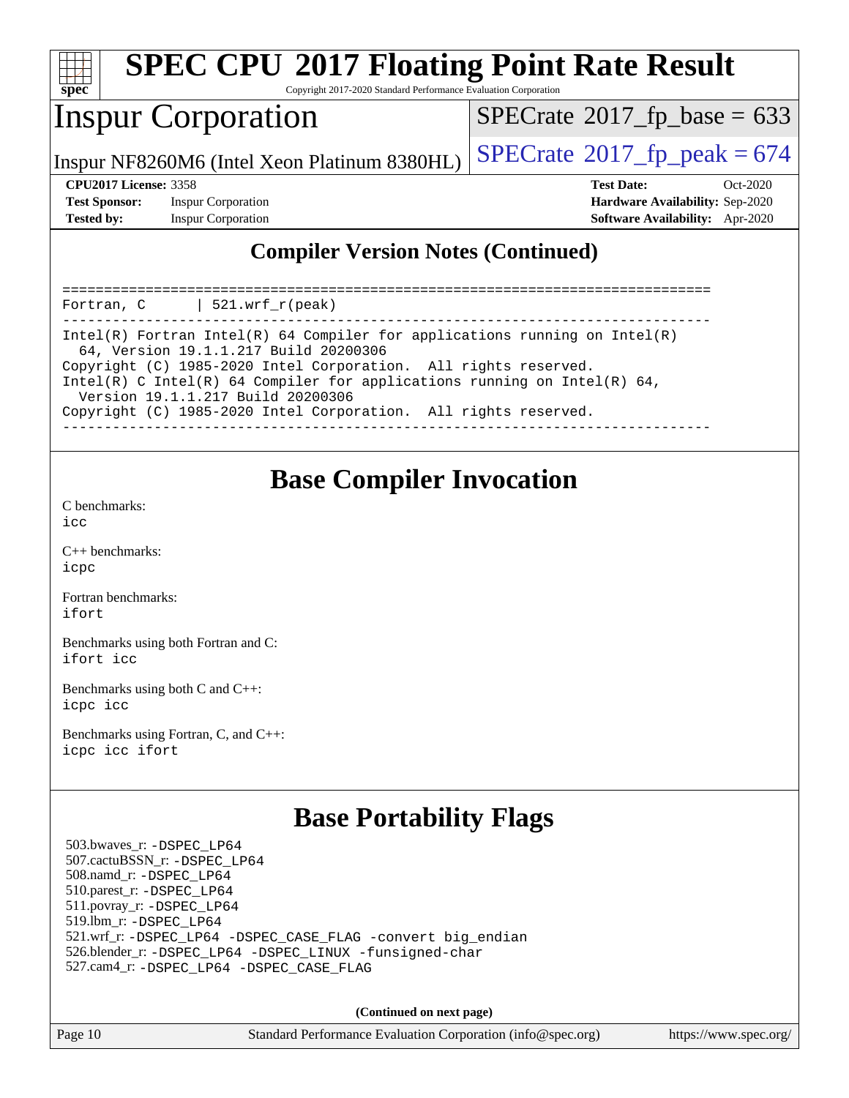

Copyright 2017-2020 Standard Performance Evaluation Corporation

## Inspur Corporation

 $SPECTate$ <sup>®</sup>[2017\\_fp\\_base =](http://www.spec.org/auto/cpu2017/Docs/result-fields.html#SPECrate2017fpbase) 633

Inspur NF8260M6 (Intel Xeon Platinum 8380HL)  $\left|$  [SPECrate](http://www.spec.org/auto/cpu2017/Docs/result-fields.html#SPECrate2017fppeak)<sup>®</sup>[2017\\_fp\\_peak = 6](http://www.spec.org/auto/cpu2017/Docs/result-fields.html#SPECrate2017fppeak)74

**[Test Sponsor:](http://www.spec.org/auto/cpu2017/Docs/result-fields.html#TestSponsor)** Inspur Corporation **[Hardware Availability:](http://www.spec.org/auto/cpu2017/Docs/result-fields.html#HardwareAvailability)** Sep-2020 **[Tested by:](http://www.spec.org/auto/cpu2017/Docs/result-fields.html#Testedby)** Inspur Corporation **[Software Availability:](http://www.spec.org/auto/cpu2017/Docs/result-fields.html#SoftwareAvailability)** Apr-2020

**[CPU2017 License:](http://www.spec.org/auto/cpu2017/Docs/result-fields.html#CPU2017License)** 3358 **[Test Date:](http://www.spec.org/auto/cpu2017/Docs/result-fields.html#TestDate)** Oct-2020

### **[Compiler Version Notes \(Continued\)](http://www.spec.org/auto/cpu2017/Docs/result-fields.html#CompilerVersionNotes)**

============================================================================== Fortran, C | 521.wrf\_r(peak) ------------------------------------------------------------------------------ Intel(R) Fortran Intel(R) 64 Compiler for applications running on Intel(R) 64, Version 19.1.1.217 Build 20200306 Copyright (C) 1985-2020 Intel Corporation. All rights reserved. Intel(R) C Intel(R) 64 Compiler for applications running on Intel(R)  $64$ , Version 19.1.1.217 Build 20200306 Copyright (C) 1985-2020 Intel Corporation. All rights reserved. ------------------------------------------------------------------------------

## **[Base Compiler Invocation](http://www.spec.org/auto/cpu2017/Docs/result-fields.html#BaseCompilerInvocation)**

[C benchmarks](http://www.spec.org/auto/cpu2017/Docs/result-fields.html#Cbenchmarks):  $i$ cc

[C++ benchmarks:](http://www.spec.org/auto/cpu2017/Docs/result-fields.html#CXXbenchmarks) [icpc](http://www.spec.org/cpu2017/results/res2020q4/cpu2017-20201027-24316.flags.html#user_CXXbase_intel_icpc_c510b6838c7f56d33e37e94d029a35b4a7bccf4766a728ee175e80a419847e808290a9b78be685c44ab727ea267ec2f070ec5dc83b407c0218cded6866a35d07)

[Fortran benchmarks](http://www.spec.org/auto/cpu2017/Docs/result-fields.html#Fortranbenchmarks): [ifort](http://www.spec.org/cpu2017/results/res2020q4/cpu2017-20201027-24316.flags.html#user_FCbase_intel_ifort_8111460550e3ca792625aed983ce982f94888b8b503583aa7ba2b8303487b4d8a21a13e7191a45c5fd58ff318f48f9492884d4413fa793fd88dd292cad7027ca)

[Benchmarks using both Fortran and C](http://www.spec.org/auto/cpu2017/Docs/result-fields.html#BenchmarksusingbothFortranandC): [ifort](http://www.spec.org/cpu2017/results/res2020q4/cpu2017-20201027-24316.flags.html#user_CC_FCbase_intel_ifort_8111460550e3ca792625aed983ce982f94888b8b503583aa7ba2b8303487b4d8a21a13e7191a45c5fd58ff318f48f9492884d4413fa793fd88dd292cad7027ca) [icc](http://www.spec.org/cpu2017/results/res2020q4/cpu2017-20201027-24316.flags.html#user_CC_FCbase_intel_icc_66fc1ee009f7361af1fbd72ca7dcefbb700085f36577c54f309893dd4ec40d12360134090235512931783d35fd58c0460139e722d5067c5574d8eaf2b3e37e92)

[Benchmarks using both C and C++](http://www.spec.org/auto/cpu2017/Docs/result-fields.html#BenchmarksusingbothCandCXX): [icpc](http://www.spec.org/cpu2017/results/res2020q4/cpu2017-20201027-24316.flags.html#user_CC_CXXbase_intel_icpc_c510b6838c7f56d33e37e94d029a35b4a7bccf4766a728ee175e80a419847e808290a9b78be685c44ab727ea267ec2f070ec5dc83b407c0218cded6866a35d07) [icc](http://www.spec.org/cpu2017/results/res2020q4/cpu2017-20201027-24316.flags.html#user_CC_CXXbase_intel_icc_66fc1ee009f7361af1fbd72ca7dcefbb700085f36577c54f309893dd4ec40d12360134090235512931783d35fd58c0460139e722d5067c5574d8eaf2b3e37e92)

[Benchmarks using Fortran, C, and C++:](http://www.spec.org/auto/cpu2017/Docs/result-fields.html#BenchmarksusingFortranCandCXX) [icpc](http://www.spec.org/cpu2017/results/res2020q4/cpu2017-20201027-24316.flags.html#user_CC_CXX_FCbase_intel_icpc_c510b6838c7f56d33e37e94d029a35b4a7bccf4766a728ee175e80a419847e808290a9b78be685c44ab727ea267ec2f070ec5dc83b407c0218cded6866a35d07) [icc](http://www.spec.org/cpu2017/results/res2020q4/cpu2017-20201027-24316.flags.html#user_CC_CXX_FCbase_intel_icc_66fc1ee009f7361af1fbd72ca7dcefbb700085f36577c54f309893dd4ec40d12360134090235512931783d35fd58c0460139e722d5067c5574d8eaf2b3e37e92) [ifort](http://www.spec.org/cpu2017/results/res2020q4/cpu2017-20201027-24316.flags.html#user_CC_CXX_FCbase_intel_ifort_8111460550e3ca792625aed983ce982f94888b8b503583aa7ba2b8303487b4d8a21a13e7191a45c5fd58ff318f48f9492884d4413fa793fd88dd292cad7027ca)

## **[Base Portability Flags](http://www.spec.org/auto/cpu2017/Docs/result-fields.html#BasePortabilityFlags)**

 503.bwaves\_r: [-DSPEC\\_LP64](http://www.spec.org/cpu2017/results/res2020q4/cpu2017-20201027-24316.flags.html#suite_basePORTABILITY503_bwaves_r_DSPEC_LP64) 507.cactuBSSN\_r: [-DSPEC\\_LP64](http://www.spec.org/cpu2017/results/res2020q4/cpu2017-20201027-24316.flags.html#suite_basePORTABILITY507_cactuBSSN_r_DSPEC_LP64) 508.namd\_r: [-DSPEC\\_LP64](http://www.spec.org/cpu2017/results/res2020q4/cpu2017-20201027-24316.flags.html#suite_basePORTABILITY508_namd_r_DSPEC_LP64) 510.parest\_r: [-DSPEC\\_LP64](http://www.spec.org/cpu2017/results/res2020q4/cpu2017-20201027-24316.flags.html#suite_basePORTABILITY510_parest_r_DSPEC_LP64) 511.povray\_r: [-DSPEC\\_LP64](http://www.spec.org/cpu2017/results/res2020q4/cpu2017-20201027-24316.flags.html#suite_basePORTABILITY511_povray_r_DSPEC_LP64) 519.lbm\_r: [-DSPEC\\_LP64](http://www.spec.org/cpu2017/results/res2020q4/cpu2017-20201027-24316.flags.html#suite_basePORTABILITY519_lbm_r_DSPEC_LP64) 521.wrf\_r: [-DSPEC\\_LP64](http://www.spec.org/cpu2017/results/res2020q4/cpu2017-20201027-24316.flags.html#suite_basePORTABILITY521_wrf_r_DSPEC_LP64) [-DSPEC\\_CASE\\_FLAG](http://www.spec.org/cpu2017/results/res2020q4/cpu2017-20201027-24316.flags.html#b521.wrf_r_baseCPORTABILITY_DSPEC_CASE_FLAG) [-convert big\\_endian](http://www.spec.org/cpu2017/results/res2020q4/cpu2017-20201027-24316.flags.html#user_baseFPORTABILITY521_wrf_r_convert_big_endian_c3194028bc08c63ac5d04de18c48ce6d347e4e562e8892b8bdbdc0214820426deb8554edfa529a3fb25a586e65a3d812c835984020483e7e73212c4d31a38223) 526.blender\_r: [-DSPEC\\_LP64](http://www.spec.org/cpu2017/results/res2020q4/cpu2017-20201027-24316.flags.html#suite_basePORTABILITY526_blender_r_DSPEC_LP64) [-DSPEC\\_LINUX](http://www.spec.org/cpu2017/results/res2020q4/cpu2017-20201027-24316.flags.html#b526.blender_r_baseCPORTABILITY_DSPEC_LINUX) [-funsigned-char](http://www.spec.org/cpu2017/results/res2020q4/cpu2017-20201027-24316.flags.html#user_baseCPORTABILITY526_blender_r_force_uchar_40c60f00ab013830e2dd6774aeded3ff59883ba5a1fc5fc14077f794d777847726e2a5858cbc7672e36e1b067e7e5c1d9a74f7176df07886a243d7cc18edfe67) 527.cam4\_r: [-DSPEC\\_LP64](http://www.spec.org/cpu2017/results/res2020q4/cpu2017-20201027-24316.flags.html#suite_basePORTABILITY527_cam4_r_DSPEC_LP64) [-DSPEC\\_CASE\\_FLAG](http://www.spec.org/cpu2017/results/res2020q4/cpu2017-20201027-24316.flags.html#b527.cam4_r_baseCPORTABILITY_DSPEC_CASE_FLAG)

**(Continued on next page)**

Page 10 Standard Performance Evaluation Corporation [\(info@spec.org\)](mailto:info@spec.org) <https://www.spec.org/>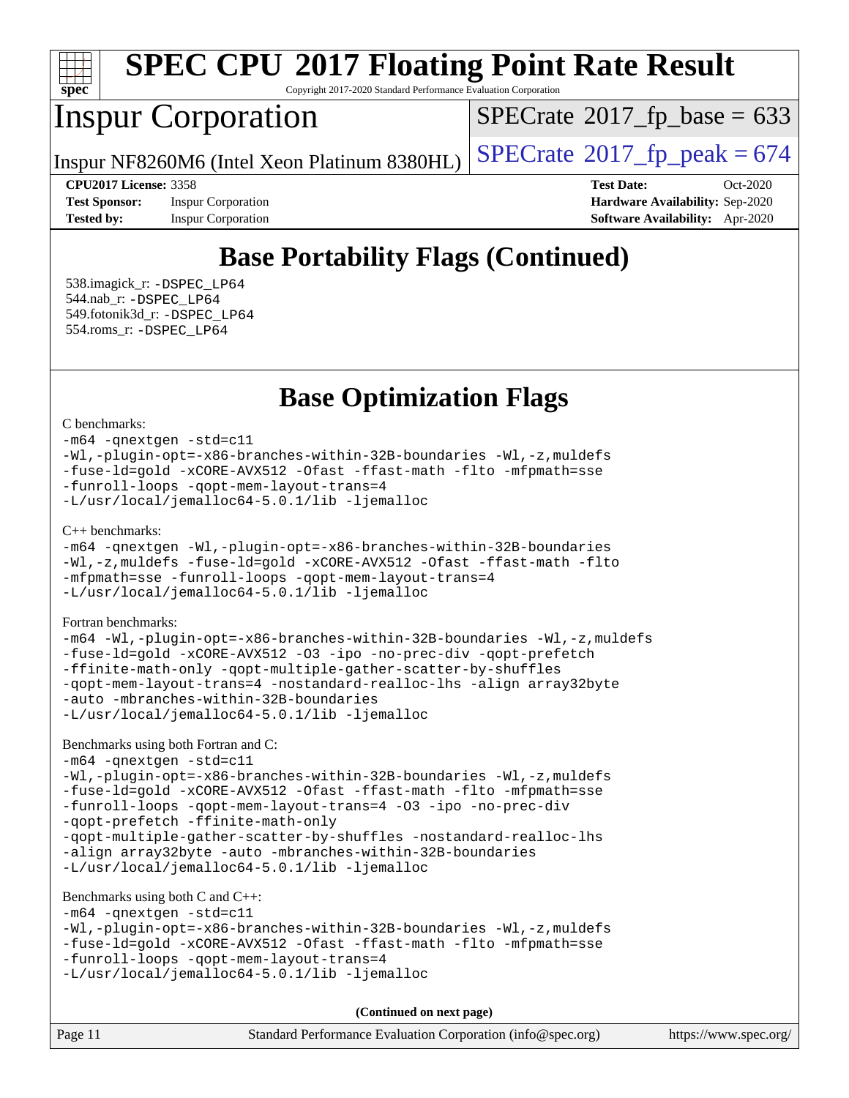

Copyright 2017-2020 Standard Performance Evaluation Corporation

# Inspur Corporation

 $SPECTate$ <sup>®</sup>[2017\\_fp\\_base =](http://www.spec.org/auto/cpu2017/Docs/result-fields.html#SPECrate2017fpbase) 633

Inspur NF8260M6 (Intel Xeon Platinum 8380HL)  $\left|$  [SPECrate](http://www.spec.org/auto/cpu2017/Docs/result-fields.html#SPECrate2017fppeak)<sup>®</sup>[2017\\_fp\\_peak = 6](http://www.spec.org/auto/cpu2017/Docs/result-fields.html#SPECrate2017fppeak)74

**[Tested by:](http://www.spec.org/auto/cpu2017/Docs/result-fields.html#Testedby)** Inspur Corporation **[Software Availability:](http://www.spec.org/auto/cpu2017/Docs/result-fields.html#SoftwareAvailability)** Apr-2020

**[CPU2017 License:](http://www.spec.org/auto/cpu2017/Docs/result-fields.html#CPU2017License)** 3358 **[Test Date:](http://www.spec.org/auto/cpu2017/Docs/result-fields.html#TestDate)** Oct-2020 **[Test Sponsor:](http://www.spec.org/auto/cpu2017/Docs/result-fields.html#TestSponsor)** Inspur Corporation **[Hardware Availability:](http://www.spec.org/auto/cpu2017/Docs/result-fields.html#HardwareAvailability)** Sep-2020

# **[Base Portability Flags \(Continued\)](http://www.spec.org/auto/cpu2017/Docs/result-fields.html#BasePortabilityFlags)**

 538.imagick\_r: [-DSPEC\\_LP64](http://www.spec.org/cpu2017/results/res2020q4/cpu2017-20201027-24316.flags.html#suite_basePORTABILITY538_imagick_r_DSPEC_LP64) 544.nab\_r: [-DSPEC\\_LP64](http://www.spec.org/cpu2017/results/res2020q4/cpu2017-20201027-24316.flags.html#suite_basePORTABILITY544_nab_r_DSPEC_LP64) 549.fotonik3d\_r: [-DSPEC\\_LP64](http://www.spec.org/cpu2017/results/res2020q4/cpu2017-20201027-24316.flags.html#suite_basePORTABILITY549_fotonik3d_r_DSPEC_LP64) 554.roms\_r: [-DSPEC\\_LP64](http://www.spec.org/cpu2017/results/res2020q4/cpu2017-20201027-24316.flags.html#suite_basePORTABILITY554_roms_r_DSPEC_LP64)

**[Base Optimization Flags](http://www.spec.org/auto/cpu2017/Docs/result-fields.html#BaseOptimizationFlags)**

[C benchmarks](http://www.spec.org/auto/cpu2017/Docs/result-fields.html#Cbenchmarks):

[-m64](http://www.spec.org/cpu2017/results/res2020q4/cpu2017-20201027-24316.flags.html#user_CCbase_m64-icc) [-qnextgen](http://www.spec.org/cpu2017/results/res2020q4/cpu2017-20201027-24316.flags.html#user_CCbase_f-qnextgen) [-std=c11](http://www.spec.org/cpu2017/results/res2020q4/cpu2017-20201027-24316.flags.html#user_CCbase_std-icc-std_0e1c27790398a4642dfca32ffe6c27b5796f9c2d2676156f2e42c9c44eaad0c049b1cdb667a270c34d979996257aeb8fc440bfb01818dbc9357bd9d174cb8524) [-Wl,-plugin-opt=-x86-branches-within-32B-boundaries](http://www.spec.org/cpu2017/results/res2020q4/cpu2017-20201027-24316.flags.html#user_CCbase_f-x86-branches-within-32B-boundaries_0098b4e4317ae60947b7b728078a624952a08ac37a3c797dfb4ffeb399e0c61a9dd0f2f44ce917e9361fb9076ccb15e7824594512dd315205382d84209e912f3) [-Wl,-z,muldefs](http://www.spec.org/cpu2017/results/res2020q4/cpu2017-20201027-24316.flags.html#user_CCbase_link_force_multiple1_b4cbdb97b34bdee9ceefcfe54f4c8ea74255f0b02a4b23e853cdb0e18eb4525ac79b5a88067c842dd0ee6996c24547a27a4b99331201badda8798ef8a743f577) [-fuse-ld=gold](http://www.spec.org/cpu2017/results/res2020q4/cpu2017-20201027-24316.flags.html#user_CCbase_f-fuse-ld_920b3586e2b8c6e0748b9c84fa9b744736ba725a32cab14ad8f3d4ad28eecb2f59d1144823d2e17006539a88734fe1fc08fc3035f7676166309105a78aaabc32) [-xCORE-AVX512](http://www.spec.org/cpu2017/results/res2020q4/cpu2017-20201027-24316.flags.html#user_CCbase_f-xCORE-AVX512) [-Ofast](http://www.spec.org/cpu2017/results/res2020q4/cpu2017-20201027-24316.flags.html#user_CCbase_f-Ofast) [-ffast-math](http://www.spec.org/cpu2017/results/res2020q4/cpu2017-20201027-24316.flags.html#user_CCbase_f-ffast-math) [-flto](http://www.spec.org/cpu2017/results/res2020q4/cpu2017-20201027-24316.flags.html#user_CCbase_f-flto) [-mfpmath=sse](http://www.spec.org/cpu2017/results/res2020q4/cpu2017-20201027-24316.flags.html#user_CCbase_f-mfpmath_70eb8fac26bde974f8ab713bc9086c5621c0b8d2f6c86f38af0bd7062540daf19db5f3a066d8c6684be05d84c9b6322eb3b5be6619d967835195b93d6c02afa1) [-funroll-loops](http://www.spec.org/cpu2017/results/res2020q4/cpu2017-20201027-24316.flags.html#user_CCbase_f-funroll-loops) [-qopt-mem-layout-trans=4](http://www.spec.org/cpu2017/results/res2020q4/cpu2017-20201027-24316.flags.html#user_CCbase_f-qopt-mem-layout-trans_fa39e755916c150a61361b7846f310bcdf6f04e385ef281cadf3647acec3f0ae266d1a1d22d972a7087a248fd4e6ca390a3634700869573d231a252c784941a8) [-L/usr/local/jemalloc64-5.0.1/lib](http://www.spec.org/cpu2017/results/res2020q4/cpu2017-20201027-24316.flags.html#user_CCbase_jemalloc_link_path64_1_cc289568b1a6c0fd3b62c91b824c27fcb5af5e8098e6ad028160d21144ef1b8aef3170d2acf0bee98a8da324cfe4f67d0a3d0c4cc4673d993d694dc2a0df248b) [-ljemalloc](http://www.spec.org/cpu2017/results/res2020q4/cpu2017-20201027-24316.flags.html#user_CCbase_jemalloc_link_lib_d1249b907c500fa1c0672f44f562e3d0f79738ae9e3c4a9c376d49f265a04b9c99b167ecedbf6711b3085be911c67ff61f150a17b3472be731631ba4d0471706)

[C++ benchmarks:](http://www.spec.org/auto/cpu2017/Docs/result-fields.html#CXXbenchmarks)

[-m64](http://www.spec.org/cpu2017/results/res2020q4/cpu2017-20201027-24316.flags.html#user_CXXbase_m64-icc) [-qnextgen](http://www.spec.org/cpu2017/results/res2020q4/cpu2017-20201027-24316.flags.html#user_CXXbase_f-qnextgen) [-Wl,-plugin-opt=-x86-branches-within-32B-boundaries](http://www.spec.org/cpu2017/results/res2020q4/cpu2017-20201027-24316.flags.html#user_CXXbase_f-x86-branches-within-32B-boundaries_0098b4e4317ae60947b7b728078a624952a08ac37a3c797dfb4ffeb399e0c61a9dd0f2f44ce917e9361fb9076ccb15e7824594512dd315205382d84209e912f3) [-Wl,-z,muldefs](http://www.spec.org/cpu2017/results/res2020q4/cpu2017-20201027-24316.flags.html#user_CXXbase_link_force_multiple1_b4cbdb97b34bdee9ceefcfe54f4c8ea74255f0b02a4b23e853cdb0e18eb4525ac79b5a88067c842dd0ee6996c24547a27a4b99331201badda8798ef8a743f577) [-fuse-ld=gold](http://www.spec.org/cpu2017/results/res2020q4/cpu2017-20201027-24316.flags.html#user_CXXbase_f-fuse-ld_920b3586e2b8c6e0748b9c84fa9b744736ba725a32cab14ad8f3d4ad28eecb2f59d1144823d2e17006539a88734fe1fc08fc3035f7676166309105a78aaabc32) [-xCORE-AVX512](http://www.spec.org/cpu2017/results/res2020q4/cpu2017-20201027-24316.flags.html#user_CXXbase_f-xCORE-AVX512) [-Ofast](http://www.spec.org/cpu2017/results/res2020q4/cpu2017-20201027-24316.flags.html#user_CXXbase_f-Ofast) [-ffast-math](http://www.spec.org/cpu2017/results/res2020q4/cpu2017-20201027-24316.flags.html#user_CXXbase_f-ffast-math) [-flto](http://www.spec.org/cpu2017/results/res2020q4/cpu2017-20201027-24316.flags.html#user_CXXbase_f-flto) [-mfpmath=sse](http://www.spec.org/cpu2017/results/res2020q4/cpu2017-20201027-24316.flags.html#user_CXXbase_f-mfpmath_70eb8fac26bde974f8ab713bc9086c5621c0b8d2f6c86f38af0bd7062540daf19db5f3a066d8c6684be05d84c9b6322eb3b5be6619d967835195b93d6c02afa1) [-funroll-loops](http://www.spec.org/cpu2017/results/res2020q4/cpu2017-20201027-24316.flags.html#user_CXXbase_f-funroll-loops) [-qopt-mem-layout-trans=4](http://www.spec.org/cpu2017/results/res2020q4/cpu2017-20201027-24316.flags.html#user_CXXbase_f-qopt-mem-layout-trans_fa39e755916c150a61361b7846f310bcdf6f04e385ef281cadf3647acec3f0ae266d1a1d22d972a7087a248fd4e6ca390a3634700869573d231a252c784941a8) [-L/usr/local/jemalloc64-5.0.1/lib](http://www.spec.org/cpu2017/results/res2020q4/cpu2017-20201027-24316.flags.html#user_CXXbase_jemalloc_link_path64_1_cc289568b1a6c0fd3b62c91b824c27fcb5af5e8098e6ad028160d21144ef1b8aef3170d2acf0bee98a8da324cfe4f67d0a3d0c4cc4673d993d694dc2a0df248b) [-ljemalloc](http://www.spec.org/cpu2017/results/res2020q4/cpu2017-20201027-24316.flags.html#user_CXXbase_jemalloc_link_lib_d1249b907c500fa1c0672f44f562e3d0f79738ae9e3c4a9c376d49f265a04b9c99b167ecedbf6711b3085be911c67ff61f150a17b3472be731631ba4d0471706)

[Fortran benchmarks](http://www.spec.org/auto/cpu2017/Docs/result-fields.html#Fortranbenchmarks):

[-m64](http://www.spec.org/cpu2017/results/res2020q4/cpu2017-20201027-24316.flags.html#user_FCbase_m64-icc) [-Wl,-plugin-opt=-x86-branches-within-32B-boundaries](http://www.spec.org/cpu2017/results/res2020q4/cpu2017-20201027-24316.flags.html#user_FCbase_f-x86-branches-within-32B-boundaries_0098b4e4317ae60947b7b728078a624952a08ac37a3c797dfb4ffeb399e0c61a9dd0f2f44ce917e9361fb9076ccb15e7824594512dd315205382d84209e912f3) [-Wl,-z,muldefs](http://www.spec.org/cpu2017/results/res2020q4/cpu2017-20201027-24316.flags.html#user_FCbase_link_force_multiple1_b4cbdb97b34bdee9ceefcfe54f4c8ea74255f0b02a4b23e853cdb0e18eb4525ac79b5a88067c842dd0ee6996c24547a27a4b99331201badda8798ef8a743f577) [-fuse-ld=gold](http://www.spec.org/cpu2017/results/res2020q4/cpu2017-20201027-24316.flags.html#user_FCbase_f-fuse-ld_920b3586e2b8c6e0748b9c84fa9b744736ba725a32cab14ad8f3d4ad28eecb2f59d1144823d2e17006539a88734fe1fc08fc3035f7676166309105a78aaabc32) [-xCORE-AVX512](http://www.spec.org/cpu2017/results/res2020q4/cpu2017-20201027-24316.flags.html#user_FCbase_f-xCORE-AVX512) [-O3](http://www.spec.org/cpu2017/results/res2020q4/cpu2017-20201027-24316.flags.html#user_FCbase_f-O3) [-ipo](http://www.spec.org/cpu2017/results/res2020q4/cpu2017-20201027-24316.flags.html#user_FCbase_f-ipo) [-no-prec-div](http://www.spec.org/cpu2017/results/res2020q4/cpu2017-20201027-24316.flags.html#user_FCbase_f-no-prec-div) [-qopt-prefetch](http://www.spec.org/cpu2017/results/res2020q4/cpu2017-20201027-24316.flags.html#user_FCbase_f-qopt-prefetch) [-ffinite-math-only](http://www.spec.org/cpu2017/results/res2020q4/cpu2017-20201027-24316.flags.html#user_FCbase_f_finite_math_only_cb91587bd2077682c4b38af759c288ed7c732db004271a9512da14a4f8007909a5f1427ecbf1a0fb78ff2a814402c6114ac565ca162485bbcae155b5e4258871) [-qopt-multiple-gather-scatter-by-shuffles](http://www.spec.org/cpu2017/results/res2020q4/cpu2017-20201027-24316.flags.html#user_FCbase_f-qopt-multiple-gather-scatter-by-shuffles) [-qopt-mem-layout-trans=4](http://www.spec.org/cpu2017/results/res2020q4/cpu2017-20201027-24316.flags.html#user_FCbase_f-qopt-mem-layout-trans_fa39e755916c150a61361b7846f310bcdf6f04e385ef281cadf3647acec3f0ae266d1a1d22d972a7087a248fd4e6ca390a3634700869573d231a252c784941a8) [-nostandard-realloc-lhs](http://www.spec.org/cpu2017/results/res2020q4/cpu2017-20201027-24316.flags.html#user_FCbase_f_2003_std_realloc_82b4557e90729c0f113870c07e44d33d6f5a304b4f63d4c15d2d0f1fab99f5daaed73bdb9275d9ae411527f28b936061aa8b9c8f2d63842963b95c9dd6426b8a) [-align array32byte](http://www.spec.org/cpu2017/results/res2020q4/cpu2017-20201027-24316.flags.html#user_FCbase_align_array32byte_b982fe038af199962ba9a80c053b8342c548c85b40b8e86eb3cc33dee0d7986a4af373ac2d51c3f7cf710a18d62fdce2948f201cd044323541f22fc0fffc51b6) [-auto](http://www.spec.org/cpu2017/results/res2020q4/cpu2017-20201027-24316.flags.html#user_FCbase_f-auto) [-mbranches-within-32B-boundaries](http://www.spec.org/cpu2017/results/res2020q4/cpu2017-20201027-24316.flags.html#user_FCbase_f-mbranches-within-32B-boundaries) [-L/usr/local/jemalloc64-5.0.1/lib](http://www.spec.org/cpu2017/results/res2020q4/cpu2017-20201027-24316.flags.html#user_FCbase_jemalloc_link_path64_1_cc289568b1a6c0fd3b62c91b824c27fcb5af5e8098e6ad028160d21144ef1b8aef3170d2acf0bee98a8da324cfe4f67d0a3d0c4cc4673d993d694dc2a0df248b) [-ljemalloc](http://www.spec.org/cpu2017/results/res2020q4/cpu2017-20201027-24316.flags.html#user_FCbase_jemalloc_link_lib_d1249b907c500fa1c0672f44f562e3d0f79738ae9e3c4a9c376d49f265a04b9c99b167ecedbf6711b3085be911c67ff61f150a17b3472be731631ba4d0471706)

[Benchmarks using both Fortran and C](http://www.spec.org/auto/cpu2017/Docs/result-fields.html#BenchmarksusingbothFortranandC):

[-m64](http://www.spec.org/cpu2017/results/res2020q4/cpu2017-20201027-24316.flags.html#user_CC_FCbase_m64-icc) [-qnextgen](http://www.spec.org/cpu2017/results/res2020q4/cpu2017-20201027-24316.flags.html#user_CC_FCbase_f-qnextgen) [-std=c11](http://www.spec.org/cpu2017/results/res2020q4/cpu2017-20201027-24316.flags.html#user_CC_FCbase_std-icc-std_0e1c27790398a4642dfca32ffe6c27b5796f9c2d2676156f2e42c9c44eaad0c049b1cdb667a270c34d979996257aeb8fc440bfb01818dbc9357bd9d174cb8524) [-Wl,-plugin-opt=-x86-branches-within-32B-boundaries](http://www.spec.org/cpu2017/results/res2020q4/cpu2017-20201027-24316.flags.html#user_CC_FCbase_f-x86-branches-within-32B-boundaries_0098b4e4317ae60947b7b728078a624952a08ac37a3c797dfb4ffeb399e0c61a9dd0f2f44ce917e9361fb9076ccb15e7824594512dd315205382d84209e912f3) [-Wl,-z,muldefs](http://www.spec.org/cpu2017/results/res2020q4/cpu2017-20201027-24316.flags.html#user_CC_FCbase_link_force_multiple1_b4cbdb97b34bdee9ceefcfe54f4c8ea74255f0b02a4b23e853cdb0e18eb4525ac79b5a88067c842dd0ee6996c24547a27a4b99331201badda8798ef8a743f577) [-fuse-ld=gold](http://www.spec.org/cpu2017/results/res2020q4/cpu2017-20201027-24316.flags.html#user_CC_FCbase_f-fuse-ld_920b3586e2b8c6e0748b9c84fa9b744736ba725a32cab14ad8f3d4ad28eecb2f59d1144823d2e17006539a88734fe1fc08fc3035f7676166309105a78aaabc32) [-xCORE-AVX512](http://www.spec.org/cpu2017/results/res2020q4/cpu2017-20201027-24316.flags.html#user_CC_FCbase_f-xCORE-AVX512) [-Ofast](http://www.spec.org/cpu2017/results/res2020q4/cpu2017-20201027-24316.flags.html#user_CC_FCbase_f-Ofast) [-ffast-math](http://www.spec.org/cpu2017/results/res2020q4/cpu2017-20201027-24316.flags.html#user_CC_FCbase_f-ffast-math) [-flto](http://www.spec.org/cpu2017/results/res2020q4/cpu2017-20201027-24316.flags.html#user_CC_FCbase_f-flto) [-mfpmath=sse](http://www.spec.org/cpu2017/results/res2020q4/cpu2017-20201027-24316.flags.html#user_CC_FCbase_f-mfpmath_70eb8fac26bde974f8ab713bc9086c5621c0b8d2f6c86f38af0bd7062540daf19db5f3a066d8c6684be05d84c9b6322eb3b5be6619d967835195b93d6c02afa1) [-funroll-loops](http://www.spec.org/cpu2017/results/res2020q4/cpu2017-20201027-24316.flags.html#user_CC_FCbase_f-funroll-loops) [-qopt-mem-layout-trans=4](http://www.spec.org/cpu2017/results/res2020q4/cpu2017-20201027-24316.flags.html#user_CC_FCbase_f-qopt-mem-layout-trans_fa39e755916c150a61361b7846f310bcdf6f04e385ef281cadf3647acec3f0ae266d1a1d22d972a7087a248fd4e6ca390a3634700869573d231a252c784941a8) [-O3](http://www.spec.org/cpu2017/results/res2020q4/cpu2017-20201027-24316.flags.html#user_CC_FCbase_f-O3) [-ipo](http://www.spec.org/cpu2017/results/res2020q4/cpu2017-20201027-24316.flags.html#user_CC_FCbase_f-ipo) [-no-prec-div](http://www.spec.org/cpu2017/results/res2020q4/cpu2017-20201027-24316.flags.html#user_CC_FCbase_f-no-prec-div) [-qopt-prefetch](http://www.spec.org/cpu2017/results/res2020q4/cpu2017-20201027-24316.flags.html#user_CC_FCbase_f-qopt-prefetch) [-ffinite-math-only](http://www.spec.org/cpu2017/results/res2020q4/cpu2017-20201027-24316.flags.html#user_CC_FCbase_f_finite_math_only_cb91587bd2077682c4b38af759c288ed7c732db004271a9512da14a4f8007909a5f1427ecbf1a0fb78ff2a814402c6114ac565ca162485bbcae155b5e4258871) [-qopt-multiple-gather-scatter-by-shuffles](http://www.spec.org/cpu2017/results/res2020q4/cpu2017-20201027-24316.flags.html#user_CC_FCbase_f-qopt-multiple-gather-scatter-by-shuffles) [-nostandard-realloc-lhs](http://www.spec.org/cpu2017/results/res2020q4/cpu2017-20201027-24316.flags.html#user_CC_FCbase_f_2003_std_realloc_82b4557e90729c0f113870c07e44d33d6f5a304b4f63d4c15d2d0f1fab99f5daaed73bdb9275d9ae411527f28b936061aa8b9c8f2d63842963b95c9dd6426b8a) [-align array32byte](http://www.spec.org/cpu2017/results/res2020q4/cpu2017-20201027-24316.flags.html#user_CC_FCbase_align_array32byte_b982fe038af199962ba9a80c053b8342c548c85b40b8e86eb3cc33dee0d7986a4af373ac2d51c3f7cf710a18d62fdce2948f201cd044323541f22fc0fffc51b6) [-auto](http://www.spec.org/cpu2017/results/res2020q4/cpu2017-20201027-24316.flags.html#user_CC_FCbase_f-auto) [-mbranches-within-32B-boundaries](http://www.spec.org/cpu2017/results/res2020q4/cpu2017-20201027-24316.flags.html#user_CC_FCbase_f-mbranches-within-32B-boundaries) [-L/usr/local/jemalloc64-5.0.1/lib](http://www.spec.org/cpu2017/results/res2020q4/cpu2017-20201027-24316.flags.html#user_CC_FCbase_jemalloc_link_path64_1_cc289568b1a6c0fd3b62c91b824c27fcb5af5e8098e6ad028160d21144ef1b8aef3170d2acf0bee98a8da324cfe4f67d0a3d0c4cc4673d993d694dc2a0df248b) [-ljemalloc](http://www.spec.org/cpu2017/results/res2020q4/cpu2017-20201027-24316.flags.html#user_CC_FCbase_jemalloc_link_lib_d1249b907c500fa1c0672f44f562e3d0f79738ae9e3c4a9c376d49f265a04b9c99b167ecedbf6711b3085be911c67ff61f150a17b3472be731631ba4d0471706)

#### [Benchmarks using both C and C++](http://www.spec.org/auto/cpu2017/Docs/result-fields.html#BenchmarksusingbothCandCXX):

```
-m64 -qnextgen -std=c11
-Wl,-plugin-opt=-x86-branches-within-32B-boundaries -Wl,-z,muldefs
-fuse-ld=gold -xCORE-AVX512 -Ofast -ffast-math -flto -mfpmath=sse
-funroll-loops -qopt-mem-layout-trans=4
-L/usr/local/jemalloc64-5.0.1/lib -ljemalloc
```
Page 11 Standard Performance Evaluation Corporation [\(info@spec.org\)](mailto:info@spec.org) <https://www.spec.org/> **(Continued on next page)**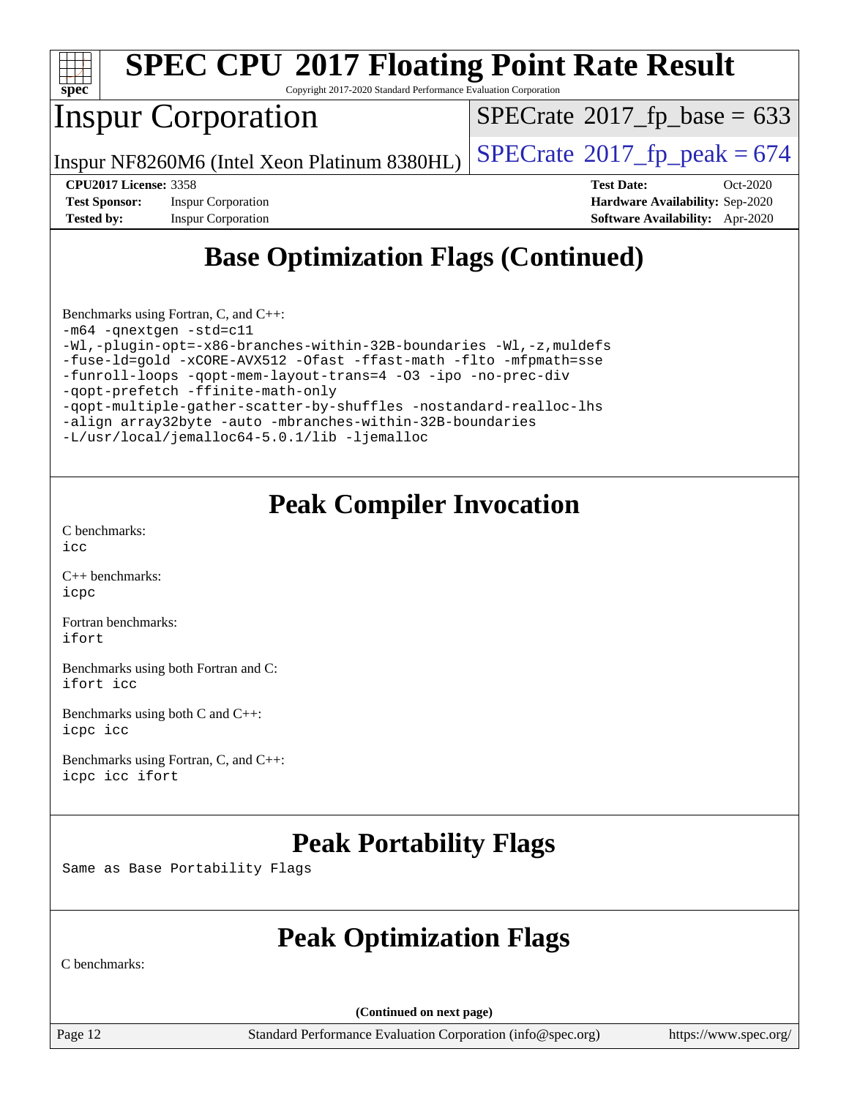

Copyright 2017-2020 Standard Performance Evaluation Corporation

# Inspur Corporation

 $SPECTate$ <sup>®</sup>[2017\\_fp\\_base =](http://www.spec.org/auto/cpu2017/Docs/result-fields.html#SPECrate2017fpbase) 633

Inspur NF8260M6 (Intel Xeon Platinum 8380HL)  $\vert$  [SPECrate](http://www.spec.org/auto/cpu2017/Docs/result-fields.html#SPECrate2017fppeak)®[2017\\_fp\\_peak = 6](http://www.spec.org/auto/cpu2017/Docs/result-fields.html#SPECrate2017fppeak)74

**[Test Sponsor:](http://www.spec.org/auto/cpu2017/Docs/result-fields.html#TestSponsor)** Inspur Corporation **[Hardware Availability:](http://www.spec.org/auto/cpu2017/Docs/result-fields.html#HardwareAvailability)** Sep-2020 **[Tested by:](http://www.spec.org/auto/cpu2017/Docs/result-fields.html#Testedby)** Inspur Corporation **[Software Availability:](http://www.spec.org/auto/cpu2017/Docs/result-fields.html#SoftwareAvailability)** Apr-2020

**[CPU2017 License:](http://www.spec.org/auto/cpu2017/Docs/result-fields.html#CPU2017License)** 3358 **[Test Date:](http://www.spec.org/auto/cpu2017/Docs/result-fields.html#TestDate)** Oct-2020

# **[Base Optimization Flags \(Continued\)](http://www.spec.org/auto/cpu2017/Docs/result-fields.html#BaseOptimizationFlags)**

[Benchmarks using Fortran, C, and C++:](http://www.spec.org/auto/cpu2017/Docs/result-fields.html#BenchmarksusingFortranCandCXX) [-m64](http://www.spec.org/cpu2017/results/res2020q4/cpu2017-20201027-24316.flags.html#user_CC_CXX_FCbase_m64-icc) [-qnextgen](http://www.spec.org/cpu2017/results/res2020q4/cpu2017-20201027-24316.flags.html#user_CC_CXX_FCbase_f-qnextgen) [-std=c11](http://www.spec.org/cpu2017/results/res2020q4/cpu2017-20201027-24316.flags.html#user_CC_CXX_FCbase_std-icc-std_0e1c27790398a4642dfca32ffe6c27b5796f9c2d2676156f2e42c9c44eaad0c049b1cdb667a270c34d979996257aeb8fc440bfb01818dbc9357bd9d174cb8524) [-Wl,-plugin-opt=-x86-branches-within-32B-boundaries](http://www.spec.org/cpu2017/results/res2020q4/cpu2017-20201027-24316.flags.html#user_CC_CXX_FCbase_f-x86-branches-within-32B-boundaries_0098b4e4317ae60947b7b728078a624952a08ac37a3c797dfb4ffeb399e0c61a9dd0f2f44ce917e9361fb9076ccb15e7824594512dd315205382d84209e912f3) [-Wl,-z,muldefs](http://www.spec.org/cpu2017/results/res2020q4/cpu2017-20201027-24316.flags.html#user_CC_CXX_FCbase_link_force_multiple1_b4cbdb97b34bdee9ceefcfe54f4c8ea74255f0b02a4b23e853cdb0e18eb4525ac79b5a88067c842dd0ee6996c24547a27a4b99331201badda8798ef8a743f577) [-fuse-ld=gold](http://www.spec.org/cpu2017/results/res2020q4/cpu2017-20201027-24316.flags.html#user_CC_CXX_FCbase_f-fuse-ld_920b3586e2b8c6e0748b9c84fa9b744736ba725a32cab14ad8f3d4ad28eecb2f59d1144823d2e17006539a88734fe1fc08fc3035f7676166309105a78aaabc32) [-xCORE-AVX512](http://www.spec.org/cpu2017/results/res2020q4/cpu2017-20201027-24316.flags.html#user_CC_CXX_FCbase_f-xCORE-AVX512) [-Ofast](http://www.spec.org/cpu2017/results/res2020q4/cpu2017-20201027-24316.flags.html#user_CC_CXX_FCbase_f-Ofast) [-ffast-math](http://www.spec.org/cpu2017/results/res2020q4/cpu2017-20201027-24316.flags.html#user_CC_CXX_FCbase_f-ffast-math) [-flto](http://www.spec.org/cpu2017/results/res2020q4/cpu2017-20201027-24316.flags.html#user_CC_CXX_FCbase_f-flto) [-mfpmath=sse](http://www.spec.org/cpu2017/results/res2020q4/cpu2017-20201027-24316.flags.html#user_CC_CXX_FCbase_f-mfpmath_70eb8fac26bde974f8ab713bc9086c5621c0b8d2f6c86f38af0bd7062540daf19db5f3a066d8c6684be05d84c9b6322eb3b5be6619d967835195b93d6c02afa1) [-funroll-loops](http://www.spec.org/cpu2017/results/res2020q4/cpu2017-20201027-24316.flags.html#user_CC_CXX_FCbase_f-funroll-loops) [-qopt-mem-layout-trans=4](http://www.spec.org/cpu2017/results/res2020q4/cpu2017-20201027-24316.flags.html#user_CC_CXX_FCbase_f-qopt-mem-layout-trans_fa39e755916c150a61361b7846f310bcdf6f04e385ef281cadf3647acec3f0ae266d1a1d22d972a7087a248fd4e6ca390a3634700869573d231a252c784941a8) [-O3](http://www.spec.org/cpu2017/results/res2020q4/cpu2017-20201027-24316.flags.html#user_CC_CXX_FCbase_f-O3) [-ipo](http://www.spec.org/cpu2017/results/res2020q4/cpu2017-20201027-24316.flags.html#user_CC_CXX_FCbase_f-ipo) [-no-prec-div](http://www.spec.org/cpu2017/results/res2020q4/cpu2017-20201027-24316.flags.html#user_CC_CXX_FCbase_f-no-prec-div) [-qopt-prefetch](http://www.spec.org/cpu2017/results/res2020q4/cpu2017-20201027-24316.flags.html#user_CC_CXX_FCbase_f-qopt-prefetch) [-ffinite-math-only](http://www.spec.org/cpu2017/results/res2020q4/cpu2017-20201027-24316.flags.html#user_CC_CXX_FCbase_f_finite_math_only_cb91587bd2077682c4b38af759c288ed7c732db004271a9512da14a4f8007909a5f1427ecbf1a0fb78ff2a814402c6114ac565ca162485bbcae155b5e4258871) [-qopt-multiple-gather-scatter-by-shuffles](http://www.spec.org/cpu2017/results/res2020q4/cpu2017-20201027-24316.flags.html#user_CC_CXX_FCbase_f-qopt-multiple-gather-scatter-by-shuffles) [-nostandard-realloc-lhs](http://www.spec.org/cpu2017/results/res2020q4/cpu2017-20201027-24316.flags.html#user_CC_CXX_FCbase_f_2003_std_realloc_82b4557e90729c0f113870c07e44d33d6f5a304b4f63d4c15d2d0f1fab99f5daaed73bdb9275d9ae411527f28b936061aa8b9c8f2d63842963b95c9dd6426b8a) [-align array32byte](http://www.spec.org/cpu2017/results/res2020q4/cpu2017-20201027-24316.flags.html#user_CC_CXX_FCbase_align_array32byte_b982fe038af199962ba9a80c053b8342c548c85b40b8e86eb3cc33dee0d7986a4af373ac2d51c3f7cf710a18d62fdce2948f201cd044323541f22fc0fffc51b6) [-auto](http://www.spec.org/cpu2017/results/res2020q4/cpu2017-20201027-24316.flags.html#user_CC_CXX_FCbase_f-auto) [-mbranches-within-32B-boundaries](http://www.spec.org/cpu2017/results/res2020q4/cpu2017-20201027-24316.flags.html#user_CC_CXX_FCbase_f-mbranches-within-32B-boundaries) [-L/usr/local/jemalloc64-5.0.1/lib](http://www.spec.org/cpu2017/results/res2020q4/cpu2017-20201027-24316.flags.html#user_CC_CXX_FCbase_jemalloc_link_path64_1_cc289568b1a6c0fd3b62c91b824c27fcb5af5e8098e6ad028160d21144ef1b8aef3170d2acf0bee98a8da324cfe4f67d0a3d0c4cc4673d993d694dc2a0df248b) [-ljemalloc](http://www.spec.org/cpu2017/results/res2020q4/cpu2017-20201027-24316.flags.html#user_CC_CXX_FCbase_jemalloc_link_lib_d1249b907c500fa1c0672f44f562e3d0f79738ae9e3c4a9c376d49f265a04b9c99b167ecedbf6711b3085be911c67ff61f150a17b3472be731631ba4d0471706)

## **[Peak Compiler Invocation](http://www.spec.org/auto/cpu2017/Docs/result-fields.html#PeakCompilerInvocation)**

[C benchmarks](http://www.spec.org/auto/cpu2017/Docs/result-fields.html#Cbenchmarks):  $inc$ 

[C++ benchmarks:](http://www.spec.org/auto/cpu2017/Docs/result-fields.html#CXXbenchmarks) [icpc](http://www.spec.org/cpu2017/results/res2020q4/cpu2017-20201027-24316.flags.html#user_CXXpeak_intel_icpc_c510b6838c7f56d33e37e94d029a35b4a7bccf4766a728ee175e80a419847e808290a9b78be685c44ab727ea267ec2f070ec5dc83b407c0218cded6866a35d07)

[Fortran benchmarks](http://www.spec.org/auto/cpu2017/Docs/result-fields.html#Fortranbenchmarks): [ifort](http://www.spec.org/cpu2017/results/res2020q4/cpu2017-20201027-24316.flags.html#user_FCpeak_intel_ifort_8111460550e3ca792625aed983ce982f94888b8b503583aa7ba2b8303487b4d8a21a13e7191a45c5fd58ff318f48f9492884d4413fa793fd88dd292cad7027ca)

[Benchmarks using both Fortran and C](http://www.spec.org/auto/cpu2017/Docs/result-fields.html#BenchmarksusingbothFortranandC): [ifort](http://www.spec.org/cpu2017/results/res2020q4/cpu2017-20201027-24316.flags.html#user_CC_FCpeak_intel_ifort_8111460550e3ca792625aed983ce982f94888b8b503583aa7ba2b8303487b4d8a21a13e7191a45c5fd58ff318f48f9492884d4413fa793fd88dd292cad7027ca) [icc](http://www.spec.org/cpu2017/results/res2020q4/cpu2017-20201027-24316.flags.html#user_CC_FCpeak_intel_icc_66fc1ee009f7361af1fbd72ca7dcefbb700085f36577c54f309893dd4ec40d12360134090235512931783d35fd58c0460139e722d5067c5574d8eaf2b3e37e92)

[Benchmarks using both C and C++](http://www.spec.org/auto/cpu2017/Docs/result-fields.html#BenchmarksusingbothCandCXX): [icpc](http://www.spec.org/cpu2017/results/res2020q4/cpu2017-20201027-24316.flags.html#user_CC_CXXpeak_intel_icpc_c510b6838c7f56d33e37e94d029a35b4a7bccf4766a728ee175e80a419847e808290a9b78be685c44ab727ea267ec2f070ec5dc83b407c0218cded6866a35d07) [icc](http://www.spec.org/cpu2017/results/res2020q4/cpu2017-20201027-24316.flags.html#user_CC_CXXpeak_intel_icc_66fc1ee009f7361af1fbd72ca7dcefbb700085f36577c54f309893dd4ec40d12360134090235512931783d35fd58c0460139e722d5067c5574d8eaf2b3e37e92)

[Benchmarks using Fortran, C, and C++:](http://www.spec.org/auto/cpu2017/Docs/result-fields.html#BenchmarksusingFortranCandCXX) [icpc](http://www.spec.org/cpu2017/results/res2020q4/cpu2017-20201027-24316.flags.html#user_CC_CXX_FCpeak_intel_icpc_c510b6838c7f56d33e37e94d029a35b4a7bccf4766a728ee175e80a419847e808290a9b78be685c44ab727ea267ec2f070ec5dc83b407c0218cded6866a35d07) [icc](http://www.spec.org/cpu2017/results/res2020q4/cpu2017-20201027-24316.flags.html#user_CC_CXX_FCpeak_intel_icc_66fc1ee009f7361af1fbd72ca7dcefbb700085f36577c54f309893dd4ec40d12360134090235512931783d35fd58c0460139e722d5067c5574d8eaf2b3e37e92) [ifort](http://www.spec.org/cpu2017/results/res2020q4/cpu2017-20201027-24316.flags.html#user_CC_CXX_FCpeak_intel_ifort_8111460550e3ca792625aed983ce982f94888b8b503583aa7ba2b8303487b4d8a21a13e7191a45c5fd58ff318f48f9492884d4413fa793fd88dd292cad7027ca)

## **[Peak Portability Flags](http://www.spec.org/auto/cpu2017/Docs/result-fields.html#PeakPortabilityFlags)**

Same as Base Portability Flags

## **[Peak Optimization Flags](http://www.spec.org/auto/cpu2017/Docs/result-fields.html#PeakOptimizationFlags)**

[C benchmarks:](http://www.spec.org/auto/cpu2017/Docs/result-fields.html#Cbenchmarks)

**(Continued on next page)**

Page 12 Standard Performance Evaluation Corporation [\(info@spec.org\)](mailto:info@spec.org) <https://www.spec.org/>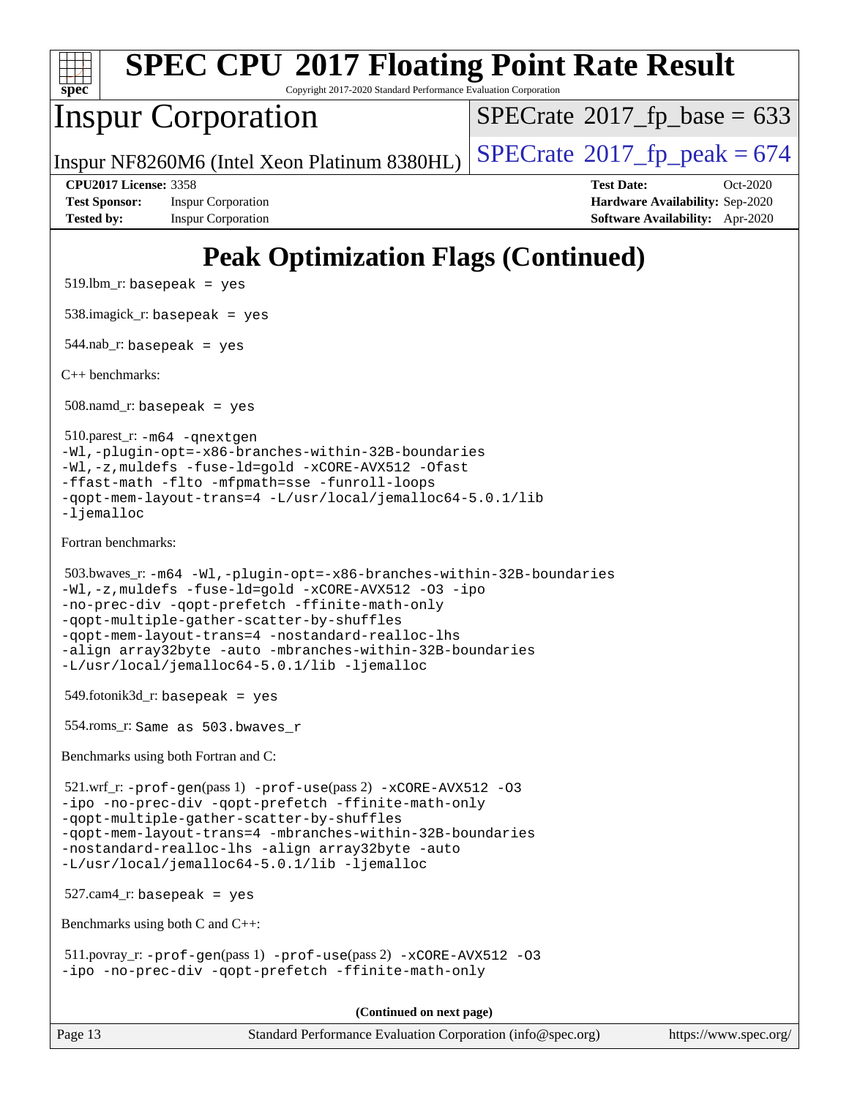

Copyright 2017-2020 Standard Performance Evaluation Corporation

# Inspur Corporation

 $SPECTate$ <sup>®</sup>[2017\\_fp\\_base =](http://www.spec.org/auto/cpu2017/Docs/result-fields.html#SPECrate2017fpbase) 633

Inspur NF8260M6 (Intel Xeon Platinum 8380HL)  $\vert$  [SPECrate](http://www.spec.org/auto/cpu2017/Docs/result-fields.html#SPECrate2017fppeak)®[2017\\_fp\\_peak = 6](http://www.spec.org/auto/cpu2017/Docs/result-fields.html#SPECrate2017fppeak)74

**[Test Sponsor:](http://www.spec.org/auto/cpu2017/Docs/result-fields.html#TestSponsor)** Inspur Corporation **[Hardware Availability:](http://www.spec.org/auto/cpu2017/Docs/result-fields.html#HardwareAvailability)** Sep-2020 **[Tested by:](http://www.spec.org/auto/cpu2017/Docs/result-fields.html#Testedby)** Inspur Corporation **[Software Availability:](http://www.spec.org/auto/cpu2017/Docs/result-fields.html#SoftwareAvailability)** Apr-2020

**[CPU2017 License:](http://www.spec.org/auto/cpu2017/Docs/result-fields.html#CPU2017License)** 3358 **[Test Date:](http://www.spec.org/auto/cpu2017/Docs/result-fields.html#TestDate)** Oct-2020

# **[Peak Optimization Flags \(Continued\)](http://www.spec.org/auto/cpu2017/Docs/result-fields.html#PeakOptimizationFlags)**

 $519.$ lbm\_r: basepeak = yes

538.imagick\_r: basepeak = yes

544.nab\_r: basepeak = yes

[C++ benchmarks:](http://www.spec.org/auto/cpu2017/Docs/result-fields.html#CXXbenchmarks)

 $508$ .namd\_r: basepeak = yes

 510.parest\_r: [-m64](http://www.spec.org/cpu2017/results/res2020q4/cpu2017-20201027-24316.flags.html#user_peakCXXLD510_parest_r_m64-icc) [-qnextgen](http://www.spec.org/cpu2017/results/res2020q4/cpu2017-20201027-24316.flags.html#user_peakCXXLD510_parest_r_f-qnextgen) [-Wl,-plugin-opt=-x86-branches-within-32B-boundaries](http://www.spec.org/cpu2017/results/res2020q4/cpu2017-20201027-24316.flags.html#user_peakLDFLAGS510_parest_r_f-x86-branches-within-32B-boundaries_0098b4e4317ae60947b7b728078a624952a08ac37a3c797dfb4ffeb399e0c61a9dd0f2f44ce917e9361fb9076ccb15e7824594512dd315205382d84209e912f3) [-Wl,-z,muldefs](http://www.spec.org/cpu2017/results/res2020q4/cpu2017-20201027-24316.flags.html#user_peakEXTRA_LDFLAGS510_parest_r_link_force_multiple1_b4cbdb97b34bdee9ceefcfe54f4c8ea74255f0b02a4b23e853cdb0e18eb4525ac79b5a88067c842dd0ee6996c24547a27a4b99331201badda8798ef8a743f577) [-fuse-ld=gold](http://www.spec.org/cpu2017/results/res2020q4/cpu2017-20201027-24316.flags.html#user_peakEXTRA_LDFLAGS510_parest_r_f-fuse-ld_920b3586e2b8c6e0748b9c84fa9b744736ba725a32cab14ad8f3d4ad28eecb2f59d1144823d2e17006539a88734fe1fc08fc3035f7676166309105a78aaabc32) [-xCORE-AVX512](http://www.spec.org/cpu2017/results/res2020q4/cpu2017-20201027-24316.flags.html#user_peakCXXOPTIMIZE510_parest_r_f-xCORE-AVX512) [-Ofast](http://www.spec.org/cpu2017/results/res2020q4/cpu2017-20201027-24316.flags.html#user_peakCXXOPTIMIZE510_parest_r_f-Ofast) [-ffast-math](http://www.spec.org/cpu2017/results/res2020q4/cpu2017-20201027-24316.flags.html#user_peakCXXOPTIMIZE510_parest_r_f-ffast-math) [-flto](http://www.spec.org/cpu2017/results/res2020q4/cpu2017-20201027-24316.flags.html#user_peakCXXOPTIMIZE510_parest_r_f-flto) [-mfpmath=sse](http://www.spec.org/cpu2017/results/res2020q4/cpu2017-20201027-24316.flags.html#user_peakCXXOPTIMIZE510_parest_r_f-mfpmath_70eb8fac26bde974f8ab713bc9086c5621c0b8d2f6c86f38af0bd7062540daf19db5f3a066d8c6684be05d84c9b6322eb3b5be6619d967835195b93d6c02afa1) [-funroll-loops](http://www.spec.org/cpu2017/results/res2020q4/cpu2017-20201027-24316.flags.html#user_peakCXXOPTIMIZE510_parest_r_f-funroll-loops) [-qopt-mem-layout-trans=4](http://www.spec.org/cpu2017/results/res2020q4/cpu2017-20201027-24316.flags.html#user_peakCXXOPTIMIZE510_parest_r_f-qopt-mem-layout-trans_fa39e755916c150a61361b7846f310bcdf6f04e385ef281cadf3647acec3f0ae266d1a1d22d972a7087a248fd4e6ca390a3634700869573d231a252c784941a8) [-L/usr/local/jemalloc64-5.0.1/lib](http://www.spec.org/cpu2017/results/res2020q4/cpu2017-20201027-24316.flags.html#user_peakEXTRA_LIBS510_parest_r_jemalloc_link_path64_1_cc289568b1a6c0fd3b62c91b824c27fcb5af5e8098e6ad028160d21144ef1b8aef3170d2acf0bee98a8da324cfe4f67d0a3d0c4cc4673d993d694dc2a0df248b) -liemalloc

[Fortran benchmarks](http://www.spec.org/auto/cpu2017/Docs/result-fields.html#Fortranbenchmarks):

```
 503.bwaves_r: -m64 -Wl,-plugin-opt=-x86-branches-within-32B-boundaries
-Wl,-z,muldefs -fuse-ld=gold -xCORE-AVX512 -O3 -ipo
-no-prec-div -qopt-prefetch -ffinite-math-only
-qopt-multiple-gather-scatter-by-shuffles
-qopt-mem-layout-trans=4 -nostandard-realloc-lhs
-align array32byte -auto -mbranches-within-32B-boundaries
-L/usr/local/jemalloc64-5.0.1/lib -ljemalloc
```
 $549.$ fotonik $3d$ <sub>-</sub> $r:$  basepeak = yes

554.roms\_r: Same as 503.bwaves\_r

[Benchmarks using both Fortran and C:](http://www.spec.org/auto/cpu2017/Docs/result-fields.html#BenchmarksusingbothFortranandC)

 521.wrf\_r: [-prof-gen](http://www.spec.org/cpu2017/results/res2020q4/cpu2017-20201027-24316.flags.html#user_peakPASS1_CFLAGSPASS1_FFLAGSPASS1_LDFLAGS521_wrf_r_prof_gen_5aa4926d6013ddb2a31985c654b3eb18169fc0c6952a63635c234f711e6e63dd76e94ad52365559451ec499a2cdb89e4dc58ba4c67ef54ca681ffbe1461d6b36)(pass 1) [-prof-use](http://www.spec.org/cpu2017/results/res2020q4/cpu2017-20201027-24316.flags.html#user_peakPASS2_CFLAGSPASS2_FFLAGSPASS2_LDFLAGS521_wrf_r_prof_use_1a21ceae95f36a2b53c25747139a6c16ca95bd9def2a207b4f0849963b97e94f5260e30a0c64f4bb623698870e679ca08317ef8150905d41bd88c6f78df73f19)(pass 2) [-xCORE-AVX512](http://www.spec.org/cpu2017/results/res2020q4/cpu2017-20201027-24316.flags.html#user_peakCOPTIMIZEPASS2_COPTIMIZEPASS2_FOPTIMIZE521_wrf_r_f-xCORE-AVX512) [-O3](http://www.spec.org/cpu2017/results/res2020q4/cpu2017-20201027-24316.flags.html#user_peakCOPTIMIZEPASS1_COPTIMIZEPASS1_FOPTIMIZEPASS2_COPTIMIZEPASS2_FOPTIMIZE521_wrf_r_f-O3) [-ipo](http://www.spec.org/cpu2017/results/res2020q4/cpu2017-20201027-24316.flags.html#user_peakCOPTIMIZEPASS1_COPTIMIZEPASS1_FOPTIMIZEPASS2_COPTIMIZEPASS2_FOPTIMIZE521_wrf_r_f-ipo) [-no-prec-div](http://www.spec.org/cpu2017/results/res2020q4/cpu2017-20201027-24316.flags.html#user_peakCOPTIMIZEPASS1_COPTIMIZEPASS1_FOPTIMIZEPASS2_COPTIMIZEPASS2_FOPTIMIZE521_wrf_r_f-no-prec-div) [-qopt-prefetch](http://www.spec.org/cpu2017/results/res2020q4/cpu2017-20201027-24316.flags.html#user_peakCOPTIMIZEPASS1_COPTIMIZEPASS1_FOPTIMIZEPASS2_COPTIMIZEPASS2_FOPTIMIZE521_wrf_r_f-qopt-prefetch) [-ffinite-math-only](http://www.spec.org/cpu2017/results/res2020q4/cpu2017-20201027-24316.flags.html#user_peakCOPTIMIZEPASS1_COPTIMIZEPASS1_FOPTIMIZEPASS2_COPTIMIZEPASS2_FOPTIMIZE521_wrf_r_f_finite_math_only_cb91587bd2077682c4b38af759c288ed7c732db004271a9512da14a4f8007909a5f1427ecbf1a0fb78ff2a814402c6114ac565ca162485bbcae155b5e4258871) [-qopt-multiple-gather-scatter-by-shuffles](http://www.spec.org/cpu2017/results/res2020q4/cpu2017-20201027-24316.flags.html#user_peakCOPTIMIZEPASS1_COPTIMIZEPASS1_FOPTIMIZEPASS2_COPTIMIZEPASS2_FOPTIMIZE521_wrf_r_f-qopt-multiple-gather-scatter-by-shuffles) [-qopt-mem-layout-trans=4](http://www.spec.org/cpu2017/results/res2020q4/cpu2017-20201027-24316.flags.html#user_peakCOPTIMIZEFOPTIMIZEPASS1_COPTIMIZEPASS1_FOPTIMIZEPASS2_COPTIMIZEPASS2_FOPTIMIZE521_wrf_r_f-qopt-mem-layout-trans_fa39e755916c150a61361b7846f310bcdf6f04e385ef281cadf3647acec3f0ae266d1a1d22d972a7087a248fd4e6ca390a3634700869573d231a252c784941a8) [-mbranches-within-32B-boundaries](http://www.spec.org/cpu2017/results/res2020q4/cpu2017-20201027-24316.flags.html#user_peakEXTRA_COPTIMIZEEXTRA_FOPTIMIZE521_wrf_r_f-mbranches-within-32B-boundaries) [-nostandard-realloc-lhs](http://www.spec.org/cpu2017/results/res2020q4/cpu2017-20201027-24316.flags.html#user_peakEXTRA_FOPTIMIZE521_wrf_r_f_2003_std_realloc_82b4557e90729c0f113870c07e44d33d6f5a304b4f63d4c15d2d0f1fab99f5daaed73bdb9275d9ae411527f28b936061aa8b9c8f2d63842963b95c9dd6426b8a) [-align array32byte](http://www.spec.org/cpu2017/results/res2020q4/cpu2017-20201027-24316.flags.html#user_peakEXTRA_FOPTIMIZE521_wrf_r_align_array32byte_b982fe038af199962ba9a80c053b8342c548c85b40b8e86eb3cc33dee0d7986a4af373ac2d51c3f7cf710a18d62fdce2948f201cd044323541f22fc0fffc51b6) [-auto](http://www.spec.org/cpu2017/results/res2020q4/cpu2017-20201027-24316.flags.html#user_peakEXTRA_FOPTIMIZE521_wrf_r_f-auto) [-L/usr/local/jemalloc64-5.0.1/lib](http://www.spec.org/cpu2017/results/res2020q4/cpu2017-20201027-24316.flags.html#user_peakEXTRA_LIBS521_wrf_r_jemalloc_link_path64_1_cc289568b1a6c0fd3b62c91b824c27fcb5af5e8098e6ad028160d21144ef1b8aef3170d2acf0bee98a8da324cfe4f67d0a3d0c4cc4673d993d694dc2a0df248b) [-ljemalloc](http://www.spec.org/cpu2017/results/res2020q4/cpu2017-20201027-24316.flags.html#user_peakEXTRA_LIBS521_wrf_r_jemalloc_link_lib_d1249b907c500fa1c0672f44f562e3d0f79738ae9e3c4a9c376d49f265a04b9c99b167ecedbf6711b3085be911c67ff61f150a17b3472be731631ba4d0471706)

527.cam4\_r: basepeak = yes

[Benchmarks using both C and C++](http://www.spec.org/auto/cpu2017/Docs/result-fields.html#BenchmarksusingbothCandCXX):

 511.povray\_r: [-prof-gen](http://www.spec.org/cpu2017/results/res2020q4/cpu2017-20201027-24316.flags.html#user_peakPASS1_CFLAGSPASS1_CXXFLAGSPASS1_LDFLAGS511_povray_r_prof_gen_5aa4926d6013ddb2a31985c654b3eb18169fc0c6952a63635c234f711e6e63dd76e94ad52365559451ec499a2cdb89e4dc58ba4c67ef54ca681ffbe1461d6b36)(pass 1) [-prof-use](http://www.spec.org/cpu2017/results/res2020q4/cpu2017-20201027-24316.flags.html#user_peakPASS2_CFLAGSPASS2_CXXFLAGSPASS2_LDFLAGS511_povray_r_prof_use_1a21ceae95f36a2b53c25747139a6c16ca95bd9def2a207b4f0849963b97e94f5260e30a0c64f4bb623698870e679ca08317ef8150905d41bd88c6f78df73f19)(pass 2) [-xCORE-AVX512](http://www.spec.org/cpu2017/results/res2020q4/cpu2017-20201027-24316.flags.html#user_peakCOPTIMIZECXXOPTIMIZEPASS2_COPTIMIZEPASS2_CXXOPTIMIZE511_povray_r_f-xCORE-AVX512) [-O3](http://www.spec.org/cpu2017/results/res2020q4/cpu2017-20201027-24316.flags.html#user_peakCOPTIMIZECXXOPTIMIZEPASS1_COPTIMIZEPASS1_CXXOPTIMIZEPASS2_COPTIMIZEPASS2_CXXOPTIMIZE511_povray_r_f-O3) [-ipo](http://www.spec.org/cpu2017/results/res2020q4/cpu2017-20201027-24316.flags.html#user_peakCOPTIMIZECXXOPTIMIZEPASS1_COPTIMIZEPASS1_CXXOPTIMIZEPASS2_COPTIMIZEPASS2_CXXOPTIMIZE511_povray_r_f-ipo) [-no-prec-div](http://www.spec.org/cpu2017/results/res2020q4/cpu2017-20201027-24316.flags.html#user_peakCOPTIMIZECXXOPTIMIZEPASS1_COPTIMIZEPASS1_CXXOPTIMIZEPASS2_COPTIMIZEPASS2_CXXOPTIMIZE511_povray_r_f-no-prec-div) [-qopt-prefetch](http://www.spec.org/cpu2017/results/res2020q4/cpu2017-20201027-24316.flags.html#user_peakCOPTIMIZECXXOPTIMIZEPASS1_COPTIMIZEPASS1_CXXOPTIMIZEPASS2_COPTIMIZEPASS2_CXXOPTIMIZE511_povray_r_f-qopt-prefetch) [-ffinite-math-only](http://www.spec.org/cpu2017/results/res2020q4/cpu2017-20201027-24316.flags.html#user_peakCOPTIMIZECXXOPTIMIZEPASS1_COPTIMIZEPASS1_CXXOPTIMIZEPASS2_COPTIMIZEPASS2_CXXOPTIMIZE511_povray_r_f_finite_math_only_cb91587bd2077682c4b38af759c288ed7c732db004271a9512da14a4f8007909a5f1427ecbf1a0fb78ff2a814402c6114ac565ca162485bbcae155b5e4258871)

**(Continued on next page)**